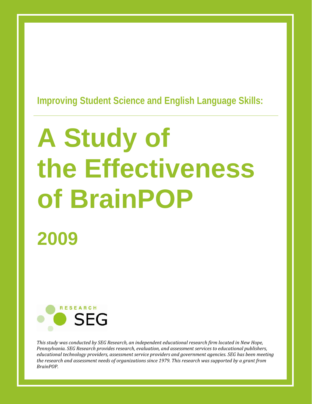### **Improving Student Science and English Language Skills:**

# **2009 A Study of the Effectiveness of BrainPOP**



*This study was conducted by SEG Research, an independent educational research firm located in New Hope, Pennsylvania. SEG Research provides research, evaluation, and assessment services to educational publishers, educational technology providers, assessment service providers and government agencies. SEG has been meeting* the research and assessment needs of organizations since 1979. This research was supported by a grant from  $BrainPOP.$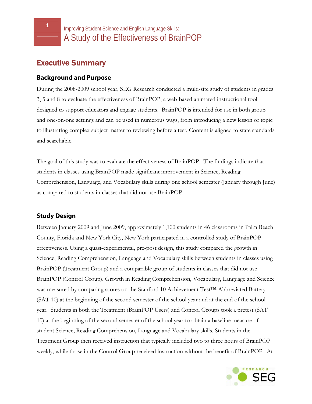### Executive Summary

#### **Background and Purpose**

During the 2008-2009 school year, SEG Research conducted a multi-site study of students in grades 3, 5 and 8 to evaluate the effectiveness of BrainPOP, a web-based animated instructional tool designed to support educators and engage students. BrainPOP is intended for use in both group and one-on-one settings and can be used in numerous ways, from introducing a new lesson or topic to illustrating complex subject matter to reviewing before a test. Content is aligned to state standards and searchable.

The goal of this study was to evaluate the effectiveness of BrainPOP. The findings indicate that students in classes using BrainPOP made significant improvement in Science, Reading Comprehension, Language, and Vocabulary skills during one school semester (January through June) as compared to students in classes that did not use BrainPOP.

#### **Study Design**

Between January 2009 and June 2009, approximately 1,100 students in 46 classrooms in Palm Beach County, Florida and New York City, New York participated in a controlled study of BrainPOP effectiveness. Using a quasi-experimental, pre-post design, this study compared the growth in Science, Reading Comprehension, Language and Vocabulary skills between students in classes using BrainPOP (Treatment Group) and a comparable group of students in classes that did not use BrainPOP (Control Group). Growth in Reading Comprehension, Vocabulary, Language and Science was measured by comparing scores on the Stanford 10 Achievement Test<sup>TM</sup> Abbreviated Battery (SAT 10) at the beginning of the second semester of the school year and at the end of the school year. Students in both the Treatment (BrainPOP Users) and Control Groups took a pretest (SAT 10) at the beginning of the second semester of the school year to obtain a baseline measure of student Science, Reading Comprehension, Language and Vocabulary skills. Students in the Treatment Group then received instruction that typically included two to three hours of BrainPOP weekly, while those in the Control Group received instruction without the benefit of BrainPOP. At

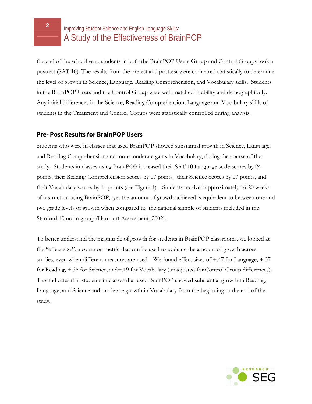the end of the school year, students in both the BrainPOP Users Group and Control Groups took a posttest (SAT 10). The results from the pretest and posttest were compared statistically to determine the level of growth in Science, Language, Reading Comprehension, and Vocabulary skills. Students in the BrainPOP Users and the Control Group were well-matched in ability and demographically. Any initial differences in the Science, Reading Comprehension, Language and Vocabulary skills of students in the Treatment and Control Groups were statistically controlled during analysis.

#### **Pre- Post Results for BrainPOP Users**

Students who were in classes that used BrainPOP showed substantial growth in Science, Language, and Reading Comprehension and more moderate gains in Vocabulary, during the course of the study. Students in classes using BrainPOP increased their SAT 10 Language scale-scores by 24 points, their Reading Comprehension scores by 17 points, their Science Scores by 17 points, and their Vocabulary scores by 11 points (see Figure 1). Students received approximately 16-20 weeks of instruction using BrainPOP, yet the amount of growth achieved is equivalent to between one and two grade levels of growth when compared to the national sample of students included in the Stanford 10 norm group (Harcourt Assessment, 2002).

To better understand the magnitude of growth for students in BrainPOP classrooms, we looked at the "effect size", a common metric that can be used to evaluate the amount of growth across studies, even when different measures are used. We found effect sizes of +.47 for Language, +.37 for Reading, +.36 for Science, and+.19 for Vocabulary (unadjusted for Control Group differences). This indicates that students in classes that used BrainPOP showed substantial growth in Reading, Language, and Science and moderate growth in Vocabulary from the beginning to the end of the study.

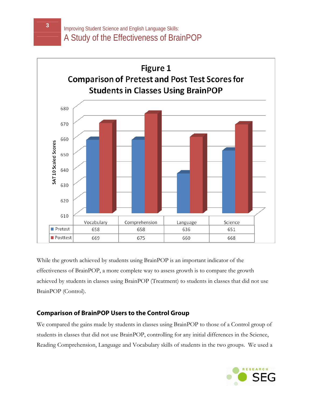

While the growth achieved by students using BrainPOP is an important indicator of the effectiveness of BrainPOP, a more complete way to assess growth is to compare the growth achieved by students in classes using BrainPOP (Treatment) to students in classes that did not use BrainPOP (Control).

#### **Comparison of BrainPOP Users to the Control Group**

We compared the gains made by students in classes using BrainPOP to those of a Control group of students in classes that did not use BrainPOP, controlling for any initial differences in the Science, Reading Comprehension, Language and Vocabulary skills of students in the two groups. We used a

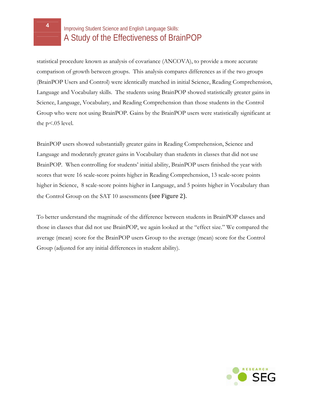statistical procedure known as analysis of covariance (ANCOVA), to provide a more accurate comparison of growth between groups. This analysis compares differences as if the two groups (BrainPOP Users and Control) were identically matched in initial Science, Reading Comprehension, Language and Vocabulary skills. The students using BrainPOP showed statistically greater gains in Science, Language, Vocabulary, and Reading Comprehension than those students in the Control Group who were not using BrainPOP. Gains by the BrainPOP users were statistically significant at the  $p<0.05$  level.

BrainPOP users showed substantially greater gains in Reading Comprehension, Science and Language and moderately greater gains in Vocabulary than students in classes that did not use BrainPOP. When controlling for students' initial ability, BrainPOP users finished the year with scores that were 16 scale-score points higher in Reading Comprehension, 13 scale-score points higher in Science, 8 scale-score points higher in Language, and 5 points higher in Vocabulary than the Control Group on the SAT 10 assessments (see Figure 2).

To better understand the magnitude of the difference between students in BrainPOP classes and those in classes that did not use BrainPOP, we again looked at the "effect size." We compared the average (mean) score for the BrainPOP users Group to the average (mean) score for the Control Group (adjusted for any initial differences in student ability).

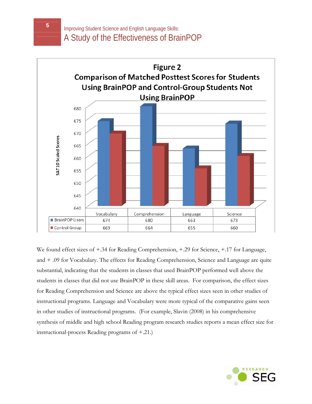

We found effect sizes of +.34 for Reading Comprehension, +.29 for Science, +.17 for Language, and + .09 for Vocabulary. The effects for Reading Comprehension, Science and Language are quite substantial, indicating that the students in classes that used BrainPOP performed well above the students in classes that did not use BrainPOP in these skill areas. For comparison, the effect sizes for Reading Comprehension and Science are above the typical effect sizes seen in other studies of instructional programs. Language and Vocabulary were more typical of the comparative gains seen in other studies of instructional programs. (For example, Slavin (2008) in his comprehensive synthesis of middle and high school Reading program research studies reports a mean effect size for instructional-process Reading programs of +.21.)

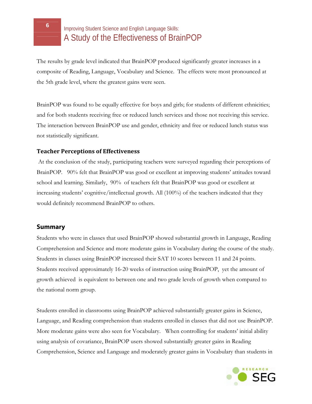The results by grade level indicated that BrainPOP produced significantly greater increases in a composite of Reading, Language, Vocabulary and Science. The effects were most pronounced at the 5th grade level, where the greatest gains were seen.

BrainPOP was found to be equally effective for boys and girls; for students of different ethnicities; and for both students receiving free or reduced lunch services and those not receiving this service. The interaction between BrainPOP use and gender, ethnicity and free or reduced lunch status was not statistically significant.

#### **Teacher Perceptions of Effectiveness**

 At the conclusion of the study, participating teachers were surveyed regarding their perceptions of BrainPOP. 90% felt that BrainPOP was good or excellent at improving students' attitudes toward school and learning. Similarly, 90% of teachers felt that BrainPOP was good or excellent at increasing students' cognitive/intellectual growth. All (100%) of the teachers indicated that they would definitely recommend BrainPOP to others.

#### **Summary**

Students who were in classes that used BrainPOP showed substantial growth in Language, Reading Comprehension and Science and more moderate gains in Vocabulary during the course of the study. Students in classes using BrainPOP increased their SAT 10 scores between 11 and 24 points. Students received approximately 16-20 weeks of instruction using BrainPOP, yet the amount of growth achieved is equivalent to between one and two grade levels of growth when compared to the national norm group.

Students enrolled in classrooms using BrainPOP achieved substantially greater gains in Science, Language, and Reading comprehension than students enrolled in classes that did not use BrainPOP. More moderate gains were also seen for Vocabulary. When controlling for students' initial ability using analysis of covariance, BrainPOP users showed substantially greater gains in Reading Comprehension, Science and Language and moderately greater gains in Vocabulary than students in

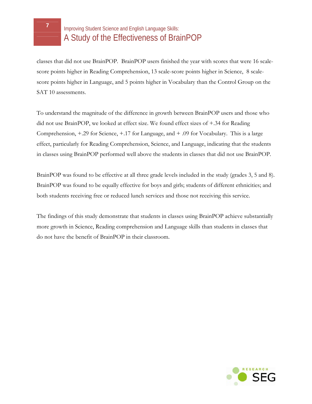

classes that did not use BrainPOP. BrainPOP users finished the year with scores that were 16 scalescore points higher in Reading Comprehension, 13 scale-score points higher in Science, 8 scalescore points higher in Language, and 5 points higher in Vocabulary than the Control Group on the SAT 10 assessments.

To understand the magnitude of the difference in growth between BrainPOP users and those who did not use BrainPOP, we looked at effect size. We found effect sizes of +.34 for Reading Comprehension, +.29 for Science, +.17 for Language, and + .09 for Vocabulary. This is a large effect, particularly for Reading Comprehension, Science, and Language, indicating that the students in classes using BrainPOP performed well above the students in classes that did not use BrainPOP.

BrainPOP was found to be effective at all three grade levels included in the study (grades 3, 5 and 8). BrainPOP was found to be equally effective for boys and girls; students of different ethnicities; and both students receiving free or reduced lunch services and those not receiving this service.

The findings of this study demonstrate that students in classes using BrainPOP achieve substantially more growth in Science, Reading comprehension and Language skills than students in classes that do not have the benefit of BrainPOP in their classroom.

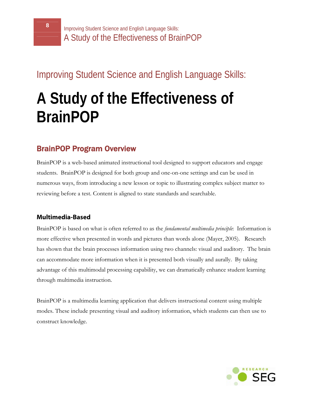### Improving Student Science and English Language Skills:

## **A Study of the Effectiveness of BrainPOP**

### BrainPOP Program Overview

BrainPOP is a web-based animated instructional tool designed to support educators and engage students. BrainPOP is designed for both group and one-on-one settings and can be used in numerous ways, from introducing a new lesson or topic to illustrating complex subject matter to reviewing before a test. Content is aligned to state standards and searchable.

#### **Multimedia-Based**

BrainPOP is based on what is often referred to as the *fundamental multimedia principle*: Information is more effective when presented in words and pictures than words alone (Mayer, 2005). Research has shown that the brain processes information using two channels: visual and auditory. The brain can accommodate more information when it is presented both visually and aurally. By taking advantage of this multimodal processing capability, we can dramatically enhance student learning through multimedia instruction.

BrainPOP is a multimedia learning application that delivers instructional content using multiple modes. These include presenting visual and auditory information, which students can then use to construct knowledge.

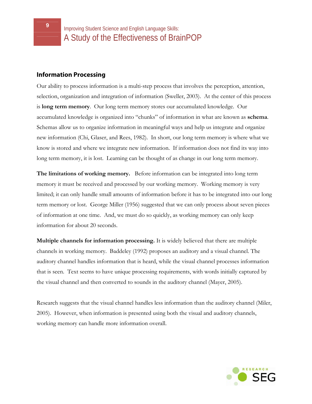#### **Information Processing**

Our ability to process information is a multi-step process that involves the perception, attention, selection, organization and integration of information (Sweller, 2003). At the center of this process is **long term memory**. Our long term memory stores our accumulated knowledge. Our accumulated knowledge is organized into "chunks" of information in what are known as **schema**. Schemas allow us to organize information in meaningful ways and help us integrate and organize new information (Chi, Glaser, and Rees, 1982). In short, our long term memory is where what we know is stored and where we integrate new information. If information does not find its way into long term memory, it is lost. Learning can be thought of as change in our long term memory.

**The limitations of working memory.** Before information can be integrated into long term memory it must be received and processed by our working memory. Working memory is very limited; it can only handle small amounts of information before it has to be integrated into our long term memory or lost. George Miller (1956) suggested that we can only process about seven pieces of information at one time. And, we must do so quickly, as working memory can only keep information for about 20 seconds.

**Multiple channels for information processing.** It is widely believed that there are multiple channels in working memory. Baddeley (1992) proposes an auditory and a visual channel. The auditory channel handles information that is heard, while the visual channel processes information that is seen. Text seems to have unique processing requirements, with words initially captured by the visual channel and then converted to sounds in the auditory channel (Mayer, 2005).

Research suggests that the visual channel handles less information than the auditory channel (Miler, 2005). However, when information is presented using both the visual and auditory channels, working memory can handle more information overall.

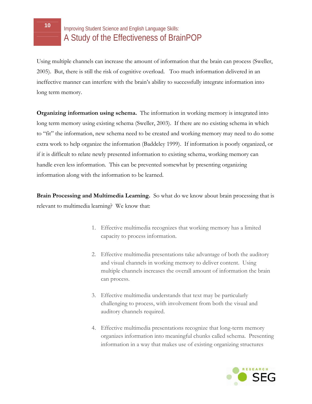Using multiple channels can increase the amount of information that the brain can process (Sweller, 2005). But, there is still the risk of cognitive overload. Too much information delivered in an ineffective manner can interfere with the brain's ability to successfully integrate information into long term memory.

**Organizing information using schema.** The information in working memory is integrated into long term memory using existing schema (Sweller, 2003). If there are no existing schema in which to "fit" the information, new schema need to be created and working memory may need to do some extra work to help organize the information (Baddeley 1999). If information is poorly organized, or if it is difficult to relate newly presented information to existing schema, working memory can handle even less information. This can be prevented somewhat by presenting organizing information along with the information to be learned.

**Brain Processing and Multimedia Learning.** So what do we know about brain processing that is relevant to multimedia learning? We know that:

- 1. Effective multimedia recognizes that working memory has a limited capacity to process information.
- 2. Effective multimedia presentations take advantage of both the auditory and visual channels in working memory to deliver content. Using multiple channels increases the overall amount of information the brain can process.
- 3. Effective multimedia understands that text may be particularly challenging to process, with involvement from both the visual and auditory channels required.
- 4. Effective multimedia presentations recognize that long-term memory organizes information into meaningful chunks called schema. Presenting information in a way that makes use of existing organizing structures

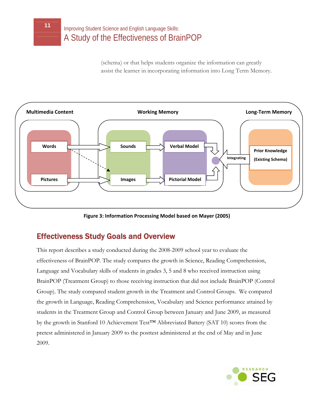(schema) or that helps students organize the information can greatly assist the learner in incorporating information into Long Term Memory.



**Figure 3: Information Processing Model based on Mayer (2005)**

### Effectiveness Study Goals and Overview

This report describes a study conducted during the 2008-2009 school year to evaluate the effectiveness of BrainPOP*.* The study compares the growth in Science, Reading Comprehension, Language and Vocabulary skills of students in grades 3, 5 and 8 who received instruction using BrainPOP (Treatment Group) to those receiving instruction that did not include BrainPOP (Control Group). The study compared student growth in the Treatment and Control Groups. We compared the growth in Language, Reading Comprehension, Vocabulary and Science performance attained by students in the Treatment Group and Control Group between January and June 2009, as measured by the growth in Stanford 10 Achievement Test™ Abbreviated Battery (SAT 10) scores from the pretest administered in January 2009 to the posttest administered at the end of May and in June 2009.

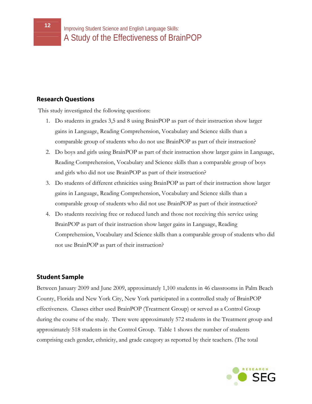#### **Research Questions**

This study investigated the following questions:

- 1. Do students in grades 3,5 and 8 using BrainPOP as part of their instruction show larger gains in Language, Reading Comprehension, Vocabulary and Science skills than a comparable group of students who do not use BrainPOP as part of their instruction?
- 2. Do boys and girls using BrainPOP as part of their instruction show larger gains in Language, Reading Comprehension, Vocabulary and Science skills than a comparable group of boys and girls who did not use BrainPOP as part of their instruction?
- 3. Do students of different ethnicities using BrainPOP as part of their instruction show larger gains in Language, Reading Comprehension, Vocabulary and Science skills than a comparable group of students who did not use BrainPOP as part of their instruction?
- 4. Do students receiving free or reduced lunch and those not receiving this service using BrainPOP as part of their instruction show larger gains in Language, Reading Comprehension, Vocabulary and Science skills than a comparable group of students who did not use BrainPOP as part of their instruction?

#### **Student Sample**

Between January 2009 and June 2009, approximately 1,100 students in 46 classrooms in Palm Beach County, Florida and New York City, New York participated in a controlled study of BrainPOP effectiveness. Classes either used BrainPOP (Treatment Group) or served as a Control Group during the course of the study. There were approximately 572 students in the Treatment group and approximately 518 students in the Control Group. Table 1 shows the number of students comprising each gender, ethnicity, and grade category as reported by their teachers. (The total

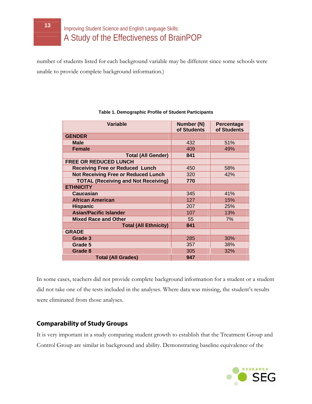number of students listed for each background variable may be different since some schools were unable to provide complete background information.)

| Variable                                   | Number (N)<br>of Students | <b>Percentage</b><br>of Students |
|--------------------------------------------|---------------------------|----------------------------------|
| <b>GENDER</b>                              |                           |                                  |
| <b>Male</b>                                | 432                       | 51%                              |
| <b>Female</b>                              | 409                       | 49%                              |
| <b>Total (All Gender)</b>                  | 841                       |                                  |
| <b>FREE OR REDUCED LUNCH</b>               |                           |                                  |
| <b>Receiving Free or Reduced Lunch</b>     | 450                       | 58%                              |
| <b>Not Receiving Free or Reduced Lunch</b> | 320                       | 42%                              |
| <b>TOTAL (Receiving and Not Receiving)</b> | 770                       |                                  |
| <b>ETHNICITY</b>                           |                           |                                  |
| <b>Caucasian</b>                           | 345                       | 41%                              |
| <b>African American</b>                    | 127                       | 15%                              |
| <b>Hispanic</b>                            | 207                       | 25%                              |
| <b>Asian/Pacific Islander</b>              | 107                       | 13%                              |
| <b>Mixed Race and Other</b>                | 55                        | 7%                               |
| <b>Total (All Ethnicity)</b>               | 841                       |                                  |
| <b>GRADE</b>                               |                           |                                  |
| Grade 3                                    | 285                       | 30%                              |
| Grade 5                                    | 357                       | 38%                              |
| Grade 8                                    | 305                       | 32%                              |
| <b>Total (All Grades)</b>                  | 947                       |                                  |

#### **Table 1. Demographic Profile of Student Participants**

In some cases, teachers did not provide complete background information for a student or a student did not take one of the tests included in the analyses. Where data was missing, the student's results were eliminated from those analyses.

#### **Comparability of Study Groups**

It is very important in a study comparing student growth to establish that the Treatment Group and Control Group are similar in background and ability. Demonstrating baseline equivalence of the

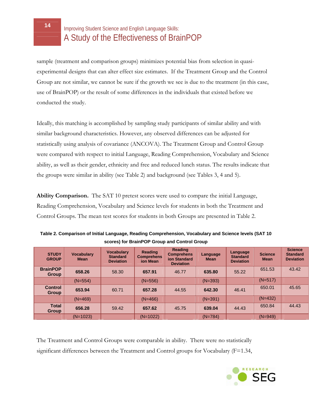sample (treatment and comparison groups) minimizes potential bias from selection in quasiexperimental designs that can alter effect size estimates. If the Treatment Group and the Control Group are not similar, we cannot be sure if the growth we see is due to the treatment (in this case, use of BrainPOP) or the result of some differences in the individuals that existed before we conducted the study.

Ideally, this matching is accomplished by sampling study participants of similar ability and with similar background characteristics. However, any observed differences can be adjusted for statistically using analysis of covariance (ANCOVA). The Treatment Group and Control Group were compared with respect to initial Language, Reading Comprehension, Vocabulary and Science ability, as well as their gender, ethnicity and free and reduced lunch status. The results indicate that the groups were similar in ability (see Table 2) and background (see Tables 3, 4 and 5).

**Ability Comparison.** The SAT 10 pretest scores were used to compare the initial Language, Reading Comprehension, Vocabulary and Science levels for students in both the Treatment and Control Groups. The mean test scores for students in both Groups are presented in Table 2.

| <b>STUDY</b><br><b>GROUP</b>    | <b>Vocabulary</b><br><b>Mean</b> | <b>Vocabulary</b><br><b>Standard</b><br><b>Deviation</b> | <b>Reading</b><br><b>Comprehens</b><br>ion Mean | <b>Reading</b><br><b>Comprehens</b><br>ion Standard<br><b>Deviation</b> | Language<br><b>Mean</b> | Language<br><b>Standard</b><br><b>Deviation</b> | <b>Science</b><br><b>Mean</b> | <b>Science</b><br><b>Standard</b><br><b>Deviation</b> |
|---------------------------------|----------------------------------|----------------------------------------------------------|-------------------------------------------------|-------------------------------------------------------------------------|-------------------------|-------------------------------------------------|-------------------------------|-------------------------------------------------------|
| <b>BrainPOP</b><br><b>Group</b> | 658.26                           | 58.30                                                    | 657.91                                          | 46.77                                                                   | 635.80                  | 55.22                                           | 651.53                        | 43.42                                                 |
|                                 | $(N=554)$                        |                                                          | $(N=556)$                                       |                                                                         | $(N=393)$               |                                                 | $(N=517)$                     |                                                       |
| <b>Control</b><br><b>Group</b>  | 653.94                           | 60.71                                                    | 657.28                                          | 44.55                                                                   | 642.30                  | 46.41                                           | 650.01                        | 45.65                                                 |
|                                 | $(N=469)$                        |                                                          | $(N=466)$                                       |                                                                         | $(N=391)$               |                                                 | $(N=432)$                     |                                                       |
| <b>Total</b><br><b>Group</b>    | 656.28                           | 59.42                                                    | 657.62                                          | 45.75                                                                   | 639.04                  | 44.43                                           | 650.84                        | 44.43                                                 |
|                                 | $(N=1023)$                       |                                                          | $(N=1022)$                                      |                                                                         | $(N=784)$               |                                                 | $(N=949)$                     |                                                       |

**Table 2. Comparison of Initial Language, Reading Comprehension, Vocabulary and Science levels (SAT 10 scores) for BrainPOP Group and Control Group** 

The Treatment and Control Groups were comparable in ability. There were no statistically significant differences between the Treatment and Control groups for Vocabulary (F=1.34,

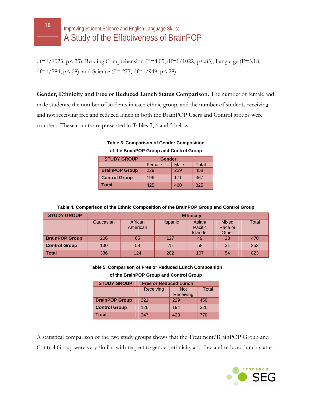df=1/1023, p<.25), Reading Comprehension (F=4.05, df=1/1022, p<.83), Language (F=3.18, df=1/784, p<.08), and Science (F=.277, df=1/949, p<.28).

**Gender, Ethnicity and Free or Reduced Lunch Status Comparison.** The number of female and male students, the number of students in each ethnic group, and the number of students receiving and not receiving free and reduced lunch in both the BrainPOP Users and Control groups were counted. These counts are presented in Tables 3, 4 and 5 below.

**Table 3. Comparison of Gender Composition of the BrainPOP Group and Control Group**

| <b>STUDY GROUP</b>    | <b>Gender</b> |      |       |  |  |  |
|-----------------------|---------------|------|-------|--|--|--|
|                       | Female        | Male | Total |  |  |  |
| <b>BrainPOP Group</b> | 229           | 229  | 458   |  |  |  |
| <b>Control Group</b>  | 196           | 171  | 367   |  |  |  |
| Total                 | 425           | 400  | 825   |  |  |  |

**Table 4. Comparison of the Ethnic Composition of the BrainPOP Group and Control Group**

| <b>STUDY GROUP</b>    | <b>Ethnicity</b> |                     |                 |                                      |                                  |              |  |  |
|-----------------------|------------------|---------------------|-----------------|--------------------------------------|----------------------------------|--------------|--|--|
|                       | Caucasian        | African<br>American | <b>Hispanic</b> | Asian/<br>Pacific<br><b>Islander</b> | <b>Mixed</b><br>Race or<br>Other | <b>Total</b> |  |  |
| <b>BrainPOP Group</b> | 206              | 65                  | 127             | 49                                   | 23                               | 470          |  |  |
| <b>Control Group</b>  | 130              | 59                  | 75              | 58                                   | 31                               | 353          |  |  |
| <b>Total</b>          | 336              | 124                 | 202             | 107                                  | 54                               | 823          |  |  |

#### **Table 5. Comparison of Free or Reduced Lunch Composition**

**of the BrainPOP Group and Control Group**

| <b>STUDY GROUP</b>    | <b>Free or Reduced Lunch</b> |              |     |  |  |  |  |
|-----------------------|------------------------------|--------------|-----|--|--|--|--|
|                       | Receiving                    | <b>Total</b> |     |  |  |  |  |
|                       |                              | Receiving    |     |  |  |  |  |
| <b>BrainPOP Group</b> | 221                          | 229          | 450 |  |  |  |  |
| <b>Control Group</b>  | 126                          | 194          | 320 |  |  |  |  |
| Total                 | 347                          | 423          | 770 |  |  |  |  |

A statistical comparison of the two study groups shows that the Treatment/BrainPOP Group and Control Group were very similar with respect to gender, ethnicity and free and reduced lunch status.

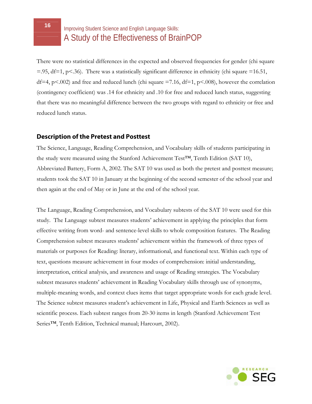There were no statistical differences in the expected and observed frequencies for gender (chi square  $=$ .95, df=1, p<.36). There was a statistically significant difference in ethnicity (chi square =16.51, df=4, p<.002) and free and reduced lunch (chi square  $=7.16$ , df=1, p<.008), however the correlation (contingency coefficient) was .14 for ethnicity and .10 for free and reduced lunch status, suggesting that there was no meaningful difference between the two groups with regard to ethnicity or free and reduced lunch status.

#### **Description of the Pretest and Posttest**

The Science, Language, Reading Comprehension, and Vocabulary skills of students participating in the study were measured using the Stanford Achievement Test™, Tenth Edition (SAT 10), Abbreviated Battery, Form A, 2002. The SAT 10 was used as both the pretest and posttest measure; students took the SAT 10 in January at the beginning of the second semester of the school year and then again at the end of May or in June at the end of the school year.

The Language, Reading Comprehension, and Vocabulary subtests of the SAT 10 were used for this study. The Language subtest measures students' achievement in applying the principles that form effective writing from word- and sentence-level skills to whole composition features. The Reading Comprehension subtest measures students' achievement within the framework of three types of materials or purposes for Reading: literary, informational, and functional text. Within each type of text, questions measure achievement in four modes of comprehension: initial understanding, interpretation, critical analysis, and awareness and usage of Reading strategies. The Vocabulary subtest measures students' achievement in Reading Vocabulary skills through use of synonyms, multiple-meaning words, and context clues items that target appropriate words for each grade level. The Science subtest measures student's achievement in Life, Physical and Earth Sciences as well as scientific process. Each subtest ranges from 20-30 items in length (Stanford Achievement Test Series™, Tenth Edition, Technical manual; Harcourt, 2002).

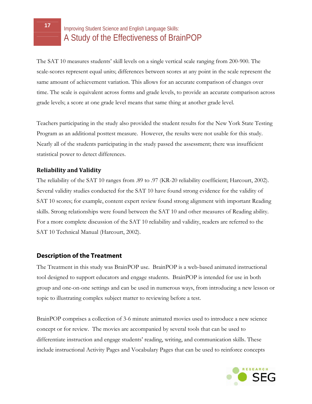The SAT 10 measures students' skill levels on a single vertical scale ranging from 200-900. The scale-scores represent equal units; differences between scores at any point in the scale represent the same amount of achievement variation. This allows for an accurate comparison of changes over time. The scale is equivalent across forms and grade levels, to provide an accurate comparison across grade levels; a score at one grade level means that same thing at another grade level.

Teachers participating in the study also provided the student results for the New York State Testing Program as an additional posttest measure. However, the results were not usable for this study. Nearly all of the students participating in the study passed the assessment; there was insufficient statistical power to detect differences.

#### **Reliability and Validity**

The reliability of the SAT 10 ranges from .89 to .97 (KR-20 reliability coefficient; Harcourt, 2002). Several validity studies conducted for the SAT 10 have found strong evidence for the validity of SAT 10 scores; for example, content expert review found strong alignment with important Reading skills. Strong relationships were found between the SAT 10 and other measures of Reading ability. For a more complete discussion of the SAT 10 reliability and validity, readers are referred to the SAT 10 Technical Manual (Harcourt, 2002).

#### **Description of the Treatment**

The Treatment in this study was BrainPOP use. BrainPOP is a web-based animated instructional tool designed to support educators and engage students. BrainPOP is intended for use in both group and one-on-one settings and can be used in numerous ways, from introducing a new lesson or topic to illustrating complex subject matter to reviewing before a test.

BrainPOP comprises a collection of 3-6 minute animated movies used to introduce a new science concept or for review. The movies are accompanied by several tools that can be used to differentiate instruction and engage students' reading, writing, and communication skills. These include instructional Activity Pages and Vocabulary Pages that can be used to reinforce concepts

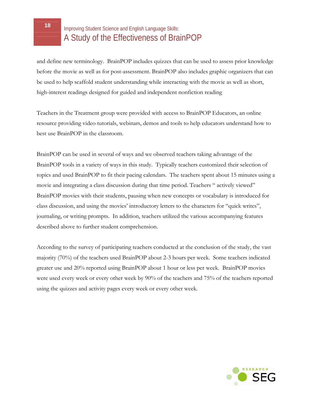and define new terminology. BrainPOP includes quizzes that can be used to assess prior knowledge before the movie as well as for post-assessment. BrainPOP also includes graphic organizers that can be used to help scaffold student understanding while interacting with the movie as well as short, high-interest readings designed for guided and independent nonfiction reading

Teachers in the Treatment group were provided with access to BrainPOP Educators, an online resource providing video tutorials, webinars, demos and tools to help educators understand how to best use BrainPOP in the classroom.

BrainPOP can be used in several of ways and we observed teachers taking advantage of the BrainPOP tools in a variety of ways in this study. Typically teachers customized their selection of topics and used BrainPOP to fit their pacing calendars. The teachers spent about 15 minutes using a movie and integrating a class discussion during that time period. Teachers " actively viewed" BrainPOP movies with their students, pausing when new concepts or vocabulary is introduced for class discussion, and using the movies' introductory letters to the characters for "quick writes", journaling, or writing prompts. In addition, teachers utilized the various accompanying features described above to further student comprehension.

According to the survey of participating teachers conducted at the conclusion of the study, the vast majority (70%) of the teachers used BrainPOP about 2-3 hours per week. Some teachers indicated greater use and 20% reported using BrainPOP about 1 hour or less per week. BrainPOP movies were used every week or every other week by 90% of the teachers and 75% of the teachers reported using the quizzes and activity pages every week or every other week.

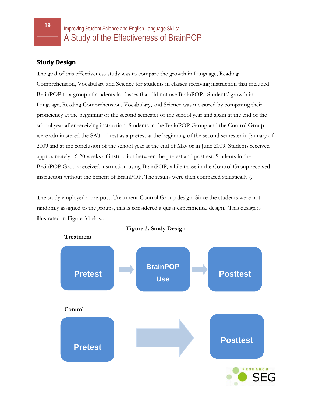#### **Study Design**

The goal of this effectiveness study was to compare the growth in Language, Reading Comprehension, Vocabulary and Science for students in classes receiving instruction that included BrainPOP to a group of students in classes that did not use BrainPOP. Students' growth in Language, Reading Comprehension, Vocabulary, and Science was measured by comparing their proficiency at the beginning of the second semester of the school year and again at the end of the school year after receiving instruction. Students in the BrainPOP Group and the Control Group were administered the SAT 10 test as a pretest at the beginning of the second semester in January of 2009 and at the conclusion of the school year at the end of May or in June 2009. Students received approximately 16-20 weeks of instruction between the pretest and posttest. Students in the BrainPOP Group received instruction using BrainPOP*,* while those in the Control Group received instruction without the benefit of BrainPOP. The results were then compared statistically (.

The study employed a pre-post, Treatment-Control Group design. Since the students were not randomly assigned to the groups, this is considered a quasi-experimental design. This design is illustrated in Figure 3 below.



**Figure 3. Study Design**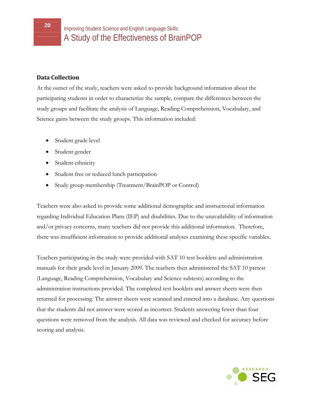#### **Data Collection**

At the outset of the study, teachers were asked to provide background information about the participating students in order to characterize the sample, compare the differences between the study groups and facilitate the analysis of Language, Reading Comprehension, Vocabulary, and Science gains between the study groups. This information included:

- Student grade level
- Student gender
- Student ethnicity
- Student free or reduced lunch participation
- Study group membership (Treatment/BrainPOP or Control)

Teachers were also asked to provide some additional demographic and instructional information regarding Individual Education Plans (IEP) and disabilities. Due to the unavailability of information and/or privacy concerns, many teachers did not provide this additional information. Therefore, there was insufficient information to provide additional analyses examining these specific variables.

Teachers participating in the study were provided with SAT 10 test booklets and administration manuals for their grade level in January 2009. The teachers then administered the SAT 10 pretest (Language, Reading Comprehension, Vocabulary and Science subtests) according to the administration instructions provided. The completed test booklets and answer sheets were then returned for processing. The answer sheets were scanned and entered into a database. Any questions that the students did not answer were scored as incorrect. Students answering fewer than four questions were removed from the analysis. All data was reviewed and checked for accuracy before scoring and analysis.

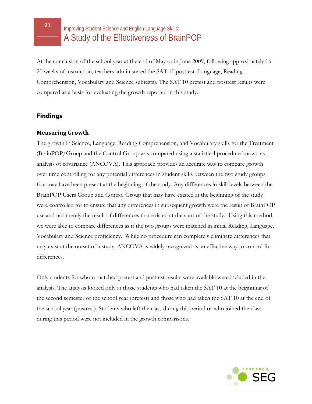At the conclusion of the school year at the end of May or in June 2009, following approximately 16- 20 weeks of instruction, teachers administered the SAT 10 posttest (Language, Reading Comprehension, Vocabulary and Science subtests). The SAT 10 pretest and posttest results were compared as a basis for evaluating the growth reported in this study.

#### **Findings**

#### **Measuring Growth**

The growth in Science, Language, Reading Comprehension, and Vocabulary skills for the Treatment (BrainPOP*)* Group and the Control Group was compared using a statistical procedure known as analysis of covariance (ANCOVA). This approach provides an accurate way to compare growth over time controlling for any potential differences in student skills between the two study groups that may have been present at the beginning of the study. Any differences in skill levels between the BrainPOP Users Group and Control Group that may have existed at the beginning of the study were controlled for to ensure that any differences in subsequent growth were the result of BrainPOP use and not merely the result of differences that existed at the start of the study. Using this method, we were able to compare differences as if the two groups were matched in initial Reading, Language, Vocabulary and Science proficiency. While no procedure can completely eliminate differences that may exist at the outset of a study, ANCOVA is widely recognized as an effective way to control for differences.

Only students for whom matched pretest and posttest results were available were included in the analysis. The analysis looked only at those students who had taken the SAT 10 at the beginning of the second semester of the school year (pretest) and those who had taken the SAT 10 at the end of the school year (posttest). Students who left the class during this period or who joined the class during this period were not included in the growth comparisons.

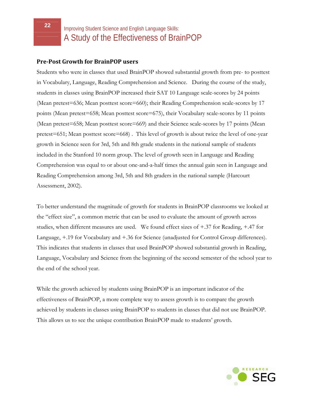#### **PrePost Growth for BrainPOP users**

Students who were in classes that used BrainPOP showed substantial growth from pre- to posttest in Vocabulary, Language, Reading Comprehension and Science. During the course of the study, students in classes using BrainPOP increased their SAT 10 Language scale-scores by 24 points (Mean pretest=636; Mean posttest score=660); their Reading Comprehension scale-scores by 17 points (Mean pretest=658; Mean posttest score=675), their Vocabulary scale-scores by 11 points (Mean pretest=658; Mean posttest score=669) and their Science scale-scores by 17 points (Mean pretest=651; Mean posttest score=668) . This level of growth is about twice the level of one-year growth in Science seen for 3rd, 5th and 8th grade students in the national sample of students included in the Stanford 10 norm group. The level of growth seen in Language and Reading Comprehension was equal to or about one-and-a-half times the annual gain seen in Language and Reading Comprehension among 3rd, 5th and 8th graders in the national sample (Harcourt Assessment, 2002).

To better understand the magnitude of growth for students in BrainPOP classrooms we looked at the "effect size", a common metric that can be used to evaluate the amount of growth across studies, when different measures are used. We found effect sizes of +.37 for Reading, +.47 for Language, +.19 for Vocabulary and +.36 for Science (unadjusted for Control Group differences). This indicates that students in classes that used BrainPOP showed substantial growth in Reading, Language, Vocabulary and Science from the beginning of the second semester of the school year to the end of the school year.

While the growth achieved by students using BrainPOP is an important indicator of the effectiveness of BrainPOP, a more complete way to assess growth is to compare the growth achieved by students in classes using BrainPOP to students in classes that did not use BrainPOP. This allows us to see the unique contribution BrainPOP made to students' growth.

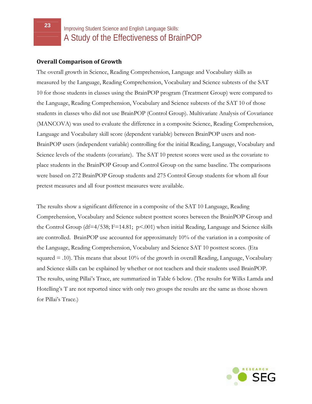#### **Overall Comparison of Growth**

The overall growth in Science, Reading Comprehension, Language and Vocabulary skills as measured by the Language, Reading Comprehension, Vocabulary and Science subtests of the SAT 10 for those students in classes using the BrainPOP program (Treatment Group) were compared to the Language, Reading Comprehension, Vocabulary and Science subtests of the SAT 10 of those students in classes who did not use BrainPOP (Control Group). Multivariate Analysis of Covariance (MANCOVA) was used to evaluate the difference in a composite Science, Reading Comprehension, Language and Vocabulary skill score (dependent variable) between BrainPOP users and non-BrainPOP users (independent variable) controlling for the initial Reading, Language, Vocabulary and Science levels of the students (covariate). The SAT 10 pretest scores were used as the covariate to place students in the BrainPOP Group and Control Group on the same baseline. The comparisons were based on 272 BrainPOP Group students and 275 Control Group students for whom all four pretest measures and all four posttest measures were available.

The results show a significant difference in a composite of the SAT 10 Language, Reading Comprehension, Vocabulary and Science subtest posttest scores between the BrainPOP Group and the Control Group (df=4/538; F=14.81; p<.001) when initial Reading, Language and Science skills are controlled. BrainPOP use accounted for approximately 10% of the variation in a composite of the Language, Reading Comprehension, Vocabulary and Science SAT 10 posttest scores. (Eta squared  $=$  .10). This means that about 10% of the growth in overall Reading, Language, Vocabulary and Science skills can be explained by whether or not teachers and their students used BrainPOP. The results, using Pillai's Trace, are summarized in Table 6 below. (The results for Wilks Lamda and Hotelling's T are not reported since with only two groups the results are the same as those shown for Pillai's Trace.)

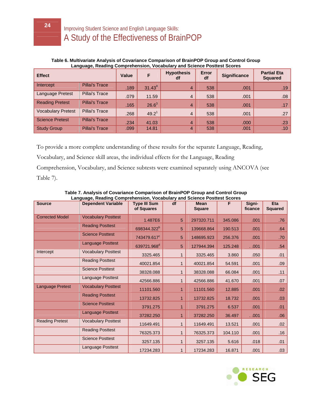#### **Table 6. Multivariate Analysis of Covariance Comparison of BrainPOP Group and Control Group Language, Reading Comprehension, Vocabulary and Science Posttest Scores**

| <b>Effect</b>             |                       | <b>Value</b> | F                 | <b>Hypothesis</b><br>df | <b>Error</b><br>df | <b>Significance</b> | <b>Partial Eta</b><br><b>Squared</b> |
|---------------------------|-----------------------|--------------|-------------------|-------------------------|--------------------|---------------------|--------------------------------------|
| Intercept                 | <b>Pillai's Trace</b> | .189         | $31.43^{4}$       | $\overline{4}$          | 538                | .001                | .19                                  |
| Language Pretest          | <b>Pillai's Trace</b> | .079         | 11.59             | $\overline{4}$          | 538                | .001                | .08                                  |
| <b>Reading Pretest</b>    | <b>Pillai's Trace</b> | .165         | $26.6^3$          | $\overline{4}$          | 538                | .001                | .17                                  |
| <b>Vocabulary Pretest</b> | Pillai's Trace        | .268         | 49.2 <sup>1</sup> | $\overline{4}$          | 538                | .001                | .27                                  |
| <b>Science Pretest</b>    | <b>Pillai's Trace</b> | .234         | 41.03             | $\overline{4}$          | 538                | .000                | .23                                  |
| <b>Study Group</b>        | <b>Pillai's Trace</b> | .099         | 14.81             | $\overline{4}$          | 538                | .001                | .10                                  |

To provide a more complete understanding of these results for the separate Language, Reading,

Vocabulary, and Science skill areas, the individual effects for the Language, Reading

Comprehension, Vocabulary, and Science subtests were examined separately using ANCOVA (see Table 7).

| <b>Source</b>          | <b>Dependent Variable</b>  | <b>Type III Sum</b><br>of Squares | df | <b>Mean</b><br><b>Square</b> | F       | Signi-<br>ficance | Eta<br><b>Squared</b> |
|------------------------|----------------------------|-----------------------------------|----|------------------------------|---------|-------------------|-----------------------|
| <b>Corrected Model</b> | <b>Vocabulary Posttest</b> | 1.487E6                           | 5  | 297320.711                   | 345.086 | .001              | .76                   |
|                        | <b>Reading Posttest</b>    | 698344.322 <sup>b</sup>           | 5  | 139668.864                   | 190.513 | .001              | .64                   |
|                        | <b>Science Posttest</b>    | 743479.617°                       | 5  | 148695.923                   | 256.376 | .001              | .70                   |
|                        | <b>Language Posttest</b>   | 639721.968 <sup>d</sup>           | 5  | 127944.394                   | 125.248 | .001              | .54                   |
| Intercept              | <b>Vocabulary Posttest</b> | 3325.465                          | 1  | 3325.465                     | 3.860   | .050              | .01                   |
|                        | <b>Reading Posttest</b>    | 40021.854                         |    | 40021.854                    | 54.591  | .001              | .09                   |
|                        | <b>Science Posttest</b>    | 38328.088                         |    | 38328.088                    | 66.084  | .001              | .11                   |
|                        | Language Posttest          | 42566.886                         |    | 42566.886                    | 41.670  | .001              | .07                   |
| Language Pretest       | <b>Vocabulary Posttest</b> | 11101.560                         |    | 11101.560                    | 12.885  | .001              | .02                   |
|                        | <b>Reading Posttest</b>    | 13732.825                         | 1  | 13732.825                    | 18.732  | .001              | .03                   |
|                        | <b>Science Posttest</b>    | 3791.275                          |    | 3791.275                     | 6.537   | .001              | .01                   |
|                        | <b>Language Posttest</b>   | 37282.250                         | 1  | 37282.250                    | 36.497  | .001              | .06                   |
| <b>Reading Pretest</b> | <b>Vocabulary Posttest</b> | 11649.491                         |    | 11649.491                    | 13.521  | .001              | .02                   |
|                        | <b>Reading Posttest</b>    | 76325.373                         |    | 76325.373                    | 104.110 | .001              | .16                   |
|                        | <b>Science Posttest</b>    | 3257.135                          |    | 3257.135                     | 5.616   | .018              | .01                   |
|                        | <b>Language Posttest</b>   | 17234.283                         |    | 17234.283                    | 16.871  | .001              | .03                   |

**Table 7. Analysis of Covariance Comparison of BrainPOP Group and Control Group Language, Reading Comprehension, Vocabulary and Science Posttest Scores** 

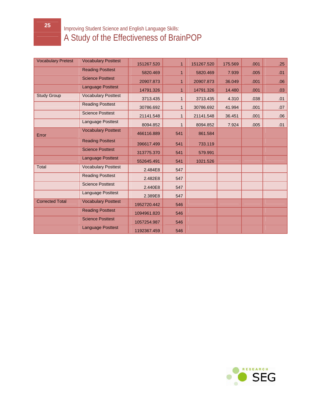| <b>Vocabulary Pretest</b> | <b>Vocabulary Posttest</b> | 151267.520  | 1            | 151267.520 | 175.569 | .001 | .25 |
|---------------------------|----------------------------|-------------|--------------|------------|---------|------|-----|
|                           | <b>Reading Posttest</b>    | 5820.469    | 1            | 5820.469   | 7.939   | .005 | .01 |
|                           | <b>Science Posttest</b>    | 20907.873   | 1            | 20907.873  | 36.049  | .001 | .06 |
|                           | Language Posttest          | 14791.326   | 1            | 14791.326  | 14.480  | .001 | .03 |
| <b>Study Group</b>        | <b>Vocabulary Posttest</b> | 3713.435    | 1            | 3713.435   | 4.310   | .038 | .01 |
|                           | <b>Reading Posttest</b>    | 30786.692   | 1            | 30786.692  | 41.994  | .001 | .07 |
|                           | <b>Science Posttest</b>    | 21141.548   | $\mathbf{1}$ | 21141.548  | 36.451  | .001 | .06 |
|                           | Language Posttest          | 8094.852    | 1            | 8094.852   | 7.924   | .005 | .01 |
| Error                     | <b>Vocabulary Posttest</b> | 466116.889  | 541          | 861.584    |         |      |     |
|                           | <b>Reading Posttest</b>    | 396617.499  | 541          | 733.119    |         |      |     |
|                           | <b>Science Posttest</b>    | 313775.370  | 541          | 579.991    |         |      |     |
|                           | Language Posttest          | 552645.491  | 541          | 1021.526   |         |      |     |
| <b>Total</b>              | <b>Vocabulary Posttest</b> | 2.484E8     | 547          |            |         |      |     |
|                           | <b>Reading Posttest</b>    | 2.482E8     | 547          |            |         |      |     |
|                           | <b>Science Posttest</b>    | 2.440E8     | 547          |            |         |      |     |
|                           | Language Posttest          | 2.389E8     | 547          |            |         |      |     |
| <b>Corrected Total</b>    | <b>Vocabulary Posttest</b> | 1952720.442 | 546          |            |         |      |     |
|                           | <b>Reading Posttest</b>    | 1094961.820 | 546          |            |         |      |     |
|                           | <b>Science Posttest</b>    | 1057254.987 | 546          |            |         |      |     |
|                           | <b>Language Posttest</b>   | 1192367.459 | 546          |            |         |      |     |



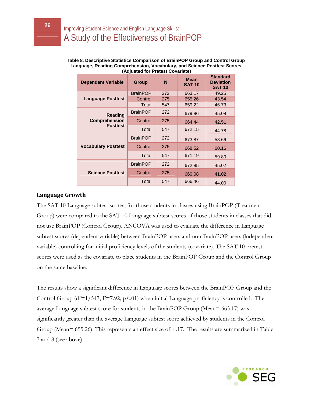#### **Table 8. Descriptive Statistics Comparison of BrainPOP Group and Control Group Language, Reading Comprehension, Vocabulary, and Science Posttest Scores (Adjusted for Pretest Covariate)**

| <b>Dependent Variable</b>               | <b>Group</b>    | N   | <b>Mean</b><br><b>SAT 10</b> | <b>Standard</b><br><b>Deviation</b><br><b>SAT 10</b> |
|-----------------------------------------|-----------------|-----|------------------------------|------------------------------------------------------|
|                                         | <b>BrainPOP</b> | 272 | 663.17                       | 49.25                                                |
| <b>Language Posttest</b>                | Control         | 275 | 655.26                       | 43.54                                                |
|                                         | Total           | 547 | 659.22                       | 46.73                                                |
| Reading                                 | <b>BrainPOP</b> | 272 | 679.86                       | 45.08                                                |
| <b>Comprehension</b><br><b>Posttest</b> | Control         | 275 | 664.44                       | 42.51                                                |
|                                         | Total           | 547 | 672.15                       | 44.78                                                |
|                                         | <b>BrainPOP</b> | 272 | 673.87                       | 58.66                                                |
| <b>Vocabulary Posttest</b>              | Control         | 275 | 668.52                       | 60.16                                                |
|                                         | Total           | 547 | 671.19                       | 59.80                                                |
|                                         | <b>BrainPOP</b> | 272 | 672.85                       | 45.02                                                |
| <b>Science Posttest</b>                 | Control         | 275 | 660.08                       | 41.02                                                |
|                                         | Total           | 547 | 666.46                       | 44.00                                                |

#### **Language Growth**

The SAT 10 Language subtest scores, for those students in classes using BrainPOP (Treatment Group) were compared to the SAT 10 Language subtest scores of those students in classes that did not use BrainPOP (Control Group). ANCOVA was used to evaluate the difference in Language subtest scores (dependent variable) between BrainPOP users and non-BrainPOP users (independent variable) controlling for initial proficiency levels of the students (covariate). The SAT 10 pretest scores were used as the covariate to place students in the BrainPOP Group and the Control Group on the same baseline.

The results show a significant difference in Language scores between the BrainPOP Group and the Control Group (df= $1/547$ ; F=7.92; p<.01) when initial Language proficiency is controlled. The average Language subtest score for students in the BrainPOP Group (Mean= 663.17) was significantly greater than the average Language subtest score achieved by students in the Control Group (Mean= 655.26). This represents an effect size of +.17. The results are summarized in Table 7 and 8 (see above).

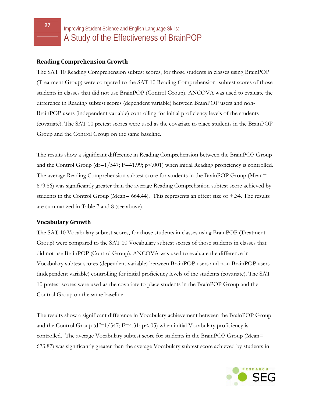#### **Reading Comprehension Growth**

The SAT 10 Reading Comprehension subtest scores, for those students in classes using BrainPOP (Treatment Group) were compared to the SAT 10 Reading Comprehension subtest scores of those students in classes that did not use BrainPOP (Control Group). ANCOVA was used to evaluate the difference in Reading subtest scores (dependent variable) between BrainPOP users and non-BrainPOP users (independent variable) controlling for initial proficiency levels of the students (covariate). The SAT 10 pretest scores were used as the covariate to place students in the BrainPOP Group and the Control Group on the same baseline.

The results show a significant difference in Reading Comprehension between the BrainPOP Group and the Control Group (df=1/547; F=41.99; p<.001) when initial Reading proficiency is controlled. The average Reading Comprehension subtest score for students in the BrainPOP Group (Mean= 679.86) was significantly greater than the average Reading Comprehsnion subtest score achieved by students in the Control Group (Mean= 664.44). This represents an effect size of +.34. The results are summarized in Table 7 and 8 (see above).

#### **Vocabulary Growth**

The SAT 10 Vocabulary subtest scores, for those students in classes using BrainPOP (Treatment Group) were compared to the SAT 10 Vocabulary subtest scores of those students in classes that did not use BrainPOP (Control Group). ANCOVA was used to evaluate the difference in Vocabulary subtest scores (dependent variable) between BrainPOP users and non-BrainPOP users (independent variable) controlling for initial proficiency levels of the students (covariate). The SAT 10 pretest scores were used as the covariate to place students in the BrainPOP Group and the Control Group on the same baseline.

The results show a significant difference in Vocabulary achievement between the BrainPOP Group and the Control Group (df= $1/547$ ; F=4.31; p<.05) when initial Vocabulary proficiency is controlled. The average Vocabulary subtest score for students in the BrainPOP Group (Mean= 673.87) was significantly greater than the average Vocabulary subtest score achieved by students in

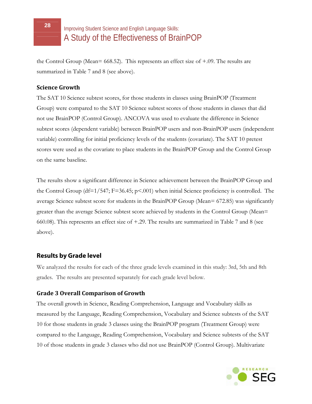the Control Group (Mean= 668.52). This represents an effect size of +.09. The results are summarized in Table 7 and 8 (see above).

#### **Science Growth**

The SAT 10 Science subtest scores, for those students in classes using BrainPOP (Treatment Group) were compared to the SAT 10 Science subtest scores of those students in classes that did not use BrainPOP (Control Group). ANCOVA was used to evaluate the difference in Science subtest scores (dependent variable) between BrainPOP users and non-BrainPOP users (independent variable) controlling for initial proficiency levels of the students (covariate). The SAT 10 pretest scores were used as the covariate to place students in the BrainPOP Group and the Control Group on the same baseline.

The results show a significant difference in Science achievement between the BrainPOP Group and the Control Group (df=1/547; F=36.45; p<.001) when initial Science proficiency is controlled. The average Science subtest score for students in the BrainPOP Group (Mean= 672.85) was significantly greater than the average Science subtest score achieved by students in the Control Group (Mean= 660.08). This represents an effect size of +.29. The results are summarized in Table 7 and 8 (see above).

#### **Results by Grade level**

We analyzed the results for each of the three grade levels examined in this study: 3rd, 5th and 8th grades. The results are presented separately for each grade level below.

#### **Grade 3 Overall Comparison of Growth**

The overall growth in Science, Reading Comprehension, Language and Vocabulary skills as measured by the Language, Reading Comprehension, Vocabulary and Science subtests of the SAT 10 for those students in grade 3 classes using the BrainPOP program (Treatment Group) were compared to the Language, Reading Comprehension, Vocabulary and Science subtests of the SAT 10 of those students in grade 3 classes who did not use BrainPOP (Control Group). Multivariate

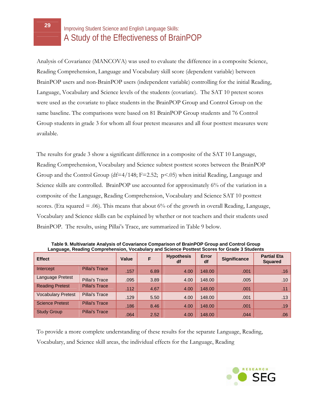Analysis of Covariance (MANCOVA) was used to evaluate the difference in a composite Science, Reading Comprehension, Language and Vocabulary skill score (dependent variable) between BrainPOP users and non-BrainPOP users (independent variable) controlling for the initial Reading, Language, Vocabulary and Science levels of the students (covariate). The SAT 10 pretest scores were used as the covariate to place students in the BrainPOP Group and Control Group on the same baseline. The comparisons were based on 81 BrainPOP Group students and 76 Control Group students in grade 3 for whom all four pretest measures and all four posttest measures were available.

The results for grade 3 show a significant difference in a composite of the SAT 10 Language, Reading Comprehension, Vocabulary and Science subtest posttest scores between the BrainPOP Group and the Control Group (df=4/148; F=2.52;  $p \le 0.05$ ) when initial Reading, Language and Science skills are controlled. BrainPOP use accounted for approximately 6% of the variation in a composite of the Language, Reading Comprehension, Vocabulary and Science SAT 10 posttest scores. (Eta squared  $=$  .06). This means that about 6% of the growth in overall Reading, Language, Vocabulary and Science skills can be explained by whether or not teachers and their students used BrainPOP. The results, using Pillai's Trace, are summarized in Table 9 below.

| Language, Reading Comprenension, Vocabulary and Science Posttest Scores for Grade 3 Students |                       |       |      |                         |                    |                     |                                      |  |
|----------------------------------------------------------------------------------------------|-----------------------|-------|------|-------------------------|--------------------|---------------------|--------------------------------------|--|
| <b>Effect</b>                                                                                |                       | Value | F    | <b>Hypothesis</b><br>df | <b>Error</b><br>df | <b>Significance</b> | <b>Partial Eta</b><br><b>Squared</b> |  |
| Intercept                                                                                    | <b>Pillai's Trace</b> | .157  | 6.89 | 4.00                    | 148.00             | .001                | .16                                  |  |
| Language Pretest                                                                             | Pillai's Trace        | .095  | 3.89 | 4.00                    | 148.00             | .005                | .10 <sub>1</sub>                     |  |
| <b>Reading Pretest</b>                                                                       | Pillai's Trace        | .112  | 4.67 | 4.00                    | 148.00             | .001                | .11                                  |  |
| <b>Vocabulary Pretest</b>                                                                    | Pillai's Trace        | .129  | 5.50 | 4.00                    | 148.00             | .001                | .13                                  |  |
| <b>Science Pretest</b>                                                                       | <b>Pillai's Trace</b> | .186  | 8.46 | 4.00                    | 148.00             | .001                | .19                                  |  |
| <b>Study Group</b>                                                                           | Pillai's Trace        | .064  | 2.52 | 4.00                    | 148.00             | .044                | 00.                                  |  |

**Table 9. Multivariate Analysis of Covariance Comparison of BrainPOP Group and Control Group Language, Reading Comprehension, Vocabulary and Science Posttest Scores for Grade 3 Students**

To provide a more complete understanding of these results for the separate Language, Reading, Vocabulary, and Science skill areas, the individual effects for the Language, Reading

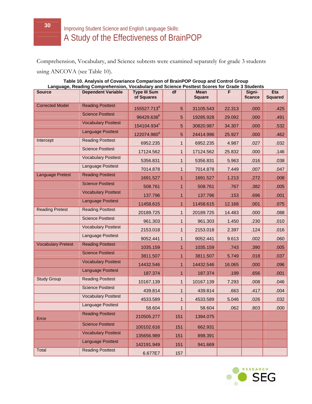Comprehension, Vocabulary, and Science subtests were examined separately for grade 3 students using ANCOVA (see Table 10).

|                           |                            |                                   |              |                       | Language, Reading Comprenension, vocabulary and Science Posttest Scores for Grade 3 Students |                   |                       |
|---------------------------|----------------------------|-----------------------------------|--------------|-----------------------|----------------------------------------------------------------------------------------------|-------------------|-----------------------|
| <b>Source</b>             | <b>Dependent Variable</b>  | <b>Type III Sum</b><br>of Squares | df           | Mean<br><b>Square</b> | F                                                                                            | Signi-<br>ficance | Eta<br><b>Squared</b> |
| <b>Corrected Model</b>    | <b>Reading Posttest</b>    | 155527.713 <sup>a</sup>           | 5            | 31105.543             | 22.313                                                                                       | .000              | .425                  |
|                           | <b>Science Posttest</b>    | 96429.638 <sup>b</sup>            | 5            | 19285.928             | 29.092                                                                                       | .000              | .491                  |
|                           | <b>Vocabulary Posttest</b> | 154104.934°                       | 5            | 30820.987             | 34.307                                                                                       | .000              | .532                  |
|                           | <b>Language Posttest</b>   | 122074.980 <sup>d</sup>           | 5            | 24414.996             | 25.927                                                                                       | .000              | .462                  |
| Intercept                 | <b>Reading Posttest</b>    | 6952.235                          | $\mathbf{1}$ | 6952.235              | 4.987                                                                                        | .027              | .032                  |
|                           | <b>Science Posttest</b>    | 17124.562                         | $\mathbf{1}$ | 17124.562             | 25.832                                                                                       | .000              | .146                  |
|                           | <b>Vocabulary Posttest</b> | 5356.831                          | 1            | 5356.831              | 5.963                                                                                        | .016              | .038                  |
|                           | Language Posttest          | 7014.878                          | $\mathbf{1}$ | 7014.878              | 7.449                                                                                        | .007              | .047                  |
| <b>Language Pretest</b>   | <b>Reading Posttest</b>    | 1691.527                          | $\mathbf{1}$ | 1691.527              | 1.213                                                                                        | .272              | .008                  |
|                           | <b>Science Posttest</b>    | 508.761                           | 1            | 508.761               | .767                                                                                         | .382              | .005                  |
|                           | <b>Vocabulary Posttest</b> | 137.796                           | $\mathbf{1}$ | 137.796               | .153                                                                                         | .696              | .001                  |
|                           | <b>Language Posttest</b>   | 11458.615                         | $\mathbf{1}$ | 11458.615             | 12.168                                                                                       | .001              | .075                  |
| <b>Reading Pretest</b>    | <b>Reading Posttest</b>    | 20189.725                         | $\mathbf{1}$ | 20189.725             | 14.483                                                                                       | .000              | .088                  |
|                           | <b>Science Posttest</b>    | 961.303                           | $\mathbf{1}$ | 961.303               | 1.450                                                                                        | .230              | .010                  |
|                           | <b>Vocabulary Posttest</b> | 2153.018                          | $\mathbf{1}$ | 2153.018              | 2.397                                                                                        | .124              | .016                  |
|                           | Language Posttest          | 9052.441                          | $\mathbf 1$  | 9052.441              | 9.613                                                                                        | .002              | .060                  |
| <b>Vocabulary Pretest</b> | <b>Reading Posttest</b>    | 1035.159                          | $\mathbf{1}$ | 1035.159              | .743                                                                                         | .390              | .005                  |
|                           | <b>Science Posttest</b>    | 3811.507                          | 1            | 3811.507              | 5.749                                                                                        | .018              | .037                  |
|                           | <b>Vocabulary Posttest</b> | 14432.546                         | $\mathbf{1}$ | 14432.546             | 16.065                                                                                       | .000              | .096                  |
|                           | <b>Language Posttest</b>   | 187.374                           | $\mathbf{1}$ | 187.374               | .199                                                                                         | .656              | .001                  |
| <b>Study Group</b>        | <b>Reading Posttest</b>    | 10167.139                         | $\mathbf{1}$ | 10167.139             | 7.293                                                                                        | .008              | .046                  |
|                           | <b>Science Posttest</b>    | 439.814                           | $\mathbf{1}$ | 439.814               | .663                                                                                         | .417              | .004                  |
|                           | <b>Vocabulary Posttest</b> | 4533.589                          | 1            | 4533.589              | 5.046                                                                                        | .026              | .032                  |
|                           | Language Posttest          | 58.604                            | 1            | 58.604                | .062                                                                                         | .803              | .000                  |
| Error                     | <b>Reading Posttest</b>    | 210505.277                        | 151          | 1394.075              |                                                                                              |                   |                       |
|                           | <b>Science Posttest</b>    | 100102.616                        | 151          | 662.931               |                                                                                              |                   |                       |
|                           | <b>Vocabulary Posttest</b> | 135656.989                        | 151          | 898.391               |                                                                                              |                   |                       |
|                           | <b>Language Posttest</b>   | 142191.949                        | 151          | 941.669               |                                                                                              |                   |                       |
| Total                     | <b>Reading Posttest</b>    | 6.677E7                           | 157          |                       |                                                                                              |                   |                       |

#### **Table 10. Analysis of Covariance Comparison of BrainPOP Group and Control Group Language, Reading Comprehension, Vocabulary and Science Posttest Scores for Grade 3 Students**

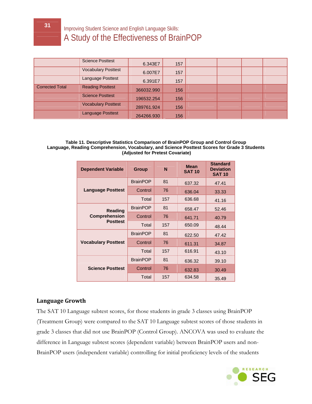|                        | <b>Science Posttest</b>    | 6.343E7    | 157 |  |  |
|------------------------|----------------------------|------------|-----|--|--|
|                        | <b>Vocabulary Posttest</b> | 6.007E7    | 157 |  |  |
|                        | Language Posttest          | 6.391E7    | 157 |  |  |
| <b>Corrected Total</b> | <b>Reading Posttest</b>    | 366032.990 | 156 |  |  |
|                        | <b>Science Posttest</b>    | 196532.254 | 156 |  |  |
|                        | <b>Vocabulary Posttest</b> | 289761.924 | 156 |  |  |
|                        | <b>Language Posttest</b>   | 264266.930 | 156 |  |  |

#### **Table 11. Descriptive Statistics Comparison of BrainPOP Group and Control Group Language, Reading Comprehension, Vocabulary, and Science Posttest Scores for Grade 3 Students (Adjusted for Pretest Covariate)**

| <b>Dependent Variable</b>              | <b>Group</b>    | N   | <b>Mean</b><br><b>SAT 10</b> | <b>Standard</b><br><b>Deviation</b><br><b>SAT 10</b> |
|----------------------------------------|-----------------|-----|------------------------------|------------------------------------------------------|
|                                        | <b>BrainPOP</b> | 81  | 637.32                       | 47.41                                                |
| <b>Language Posttest</b>               | Control         | 76  | 636.04                       | 33.33                                                |
|                                        | Total           | 157 | 636.68                       | 41.16                                                |
| <b>Reading</b><br><b>Comprehension</b> | <b>BrainPOP</b> | 81  | 658.47                       | 52.46                                                |
|                                        | Control         | 76  | 641.71                       | 40.79                                                |
| <b>Posttest</b>                        | Total           | 157 | 650.09                       | 48.44                                                |
|                                        | <b>BrainPOP</b> | 81  | 622.50                       | 47.42                                                |
| <b>Vocabulary Posttest</b>             | Control         | 76  | 611.31                       | 34.87                                                |
|                                        | Total           | 157 | 616.91                       | 43.10                                                |
|                                        | <b>BrainPOP</b> | 81  | 636.32                       | 39.10                                                |
| <b>Science Posttest</b>                | Control         | 76  | 632.83                       | 30.49                                                |
|                                        | Total           | 157 | 634.58                       | 35.49                                                |

#### **Language Growth**

The SAT 10 Language subtest scores, for those students in grade 3 classes using BrainPOP (Treatment Group) were compared to the SAT 10 Language subtest scores of those students in grade 3 classes that did not use BrainPOP (Control Group). ANCOVA was used to evaluate the difference in Language subtest scores (dependent variable) between BrainPOP users and non-BrainPOP users (independent variable) controlling for initial proficiency levels of the students

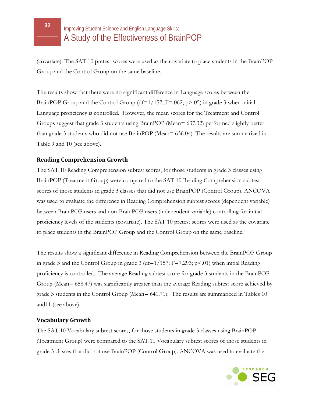(covariate). The SAT 10 pretest scores were used as the covariate to place students in the BrainPOP Group and the Control Group on the same baseline.

The results show that there were no significant difference in Language scores between the BrainPOP Group and the Control Group ( $df=1/157$ ; F=.062; p>.05) in grade 3 when initial Language proficiency is controlled. However, the mean scores for the Treatment and Control Groups suggest that grade 3 students using BrainPOP (Mean= 637.32) performed slightly better than grade 3 students who did not use BrainPOP (Mean= 636.04). The results are summarized in Table 9 and 10 (see above).

#### **Reading Comprehension Growth**

The SAT 10 Reading Comprehension subtest scores, for those students in grade 3 classes using BrainPOP (Treatment Group) were compared to the SAT 10 Reading Comprehension subtest scores of those students in grade 3 classes that did not use BrainPOP (Control Group). ANCOVA was used to evaluate the difference in Reading Comprehension subtest scores (dependent variable) between BrainPOP users and non-BrainPOP users (independent variable) controlling for initial proficiency levels of the students (covariate). The SAT 10 pretest scores were used as the covariate to place students in the BrainPOP Group and the Control Group on the same baseline.

The results show a significant difference in Reading Comprehension between the BrainPOP Group in grade 3 and the Control Group in grade 3 ( $df=1/157$ ; F=7.293; p<.01) when initial Reading proficiency is controlled. The average Reading subtest score for grade 3 students in the BrainPOP Group (Mean= 658.47) was significantly greater than the average Reading subtest score achieved by grade 3 students in the Control Group (Mean= 641.71). The results are summarized in Tables 10 and11 (see above).

#### **Vocabulary Growth**

The SAT 10 Vocabulary subtest scores, for those students in grade 3 classes using BrainPOP (Treatment Group) were compared to the SAT 10 Vocabulary subtest scores of those students in grade 3 classes that did not use BrainPOP (Control Group). ANCOVA was used to evaluate the

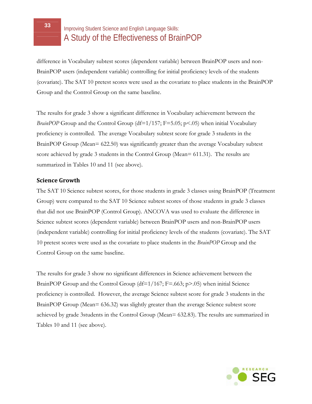difference in Vocabulary subtest scores (dependent variable) between BrainPOP users and non-BrainPOP users (independent variable) controlling for initial proficiency levels of the students (covariate). The SAT 10 pretest scores were used as the covariate to place students in the BrainPOP Group and the Control Group on the same baseline.

The results for grade 3 show a significant difference in Vocabulary achievement between the *BrainPOP* Group and the Control Group (df=1/157; F=5.05; p<.05) when initial Vocabulary proficiency is controlled. The average Vocabulary subtest score for grade 3 students in the BrainPOP Group (Mean= 622.50) was significantly greater than the average Vocabulary subtest score achieved by grade 3 students in the Control Group (Mean= 611.31). The results are summarized in Tables 10 and 11 (see above).

#### **Science Growth**

The SAT 10 Science subtest scores, for those students in grade 3 classes using BrainPOP (Treatment Group) were compared to the SAT 10 Science subtest scores of those students in grade 3 classes that did not use BrainPOP (Control Group). ANCOVA was used to evaluate the difference in Science subtest scores (dependent variable) between BrainPOP users and non-BrainPOP users (independent variable) controlling for initial proficiency levels of the students (covariate). The SAT 10 pretest scores were used as the covariate to place students in the *BrainPOP* Group and the Control Group on the same baseline.

The results for grade 3 show no significant differences in Science achievement between the BrainPOP Group and the Control Group (df=1/167; F=.663; p>.05) when initial Science proficiency is controlled. However, the average Science subtest score for grade 3 students in the BrainPOP Group (Mean= 636.32) was slightly greater than the average Science subtest score achieved by grade 3students in the Control Group (Mean= 632.83). The results are summarized in Tables 10 and 11 (see above).

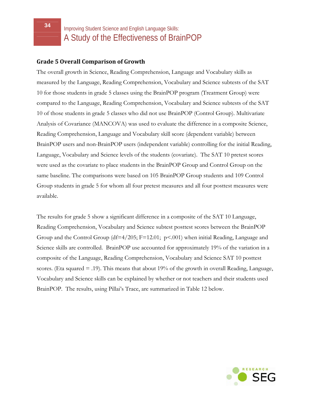#### **Grade 5 Overall Comparison of Growth**

The overall growth in Science, Reading Comprehension, Language and Vocabulary skills as measured by the Language, Reading Comprehension, Vocabulary and Science subtests of the SAT 10 for those students in grade 5 classes using the BrainPOP program (Treatment Group) were compared to the Language, Reading Comprehension, Vocabulary and Science subtests of the SAT 10 of those students in grade 5 classes who did not use BrainPOP (Control Group). Multivariate Analysis of Covariance (MANCOVA) was used to evaluate the difference in a composite Science, Reading Comprehension, Language and Vocabulary skill score (dependent variable) between BrainPOP users and non-BrainPOP users (independent variable) controlling for the initial Reading, Language, Vocabulary and Science levels of the students (covariate). The SAT 10 pretest scores were used as the covariate to place students in the BrainPOP Group and Control Group on the same baseline. The comparisons were based on 105 BrainPOP Group students and 109 Control Group students in grade 5 for whom all four pretest measures and all four posttest measures were available.

The results for grade 5 show a significant difference in a composite of the SAT 10 Language, Reading Comprehension, Vocabulary and Science subtest posttest scores between the BrainPOP Group and the Control Group (df=4/205; F=12.01; p<.001) when initial Reading, Language and Science skills are controlled. BrainPOP use accounted for approximately 19% of the variation in a composite of the Language, Reading Comprehension, Vocabulary and Science SAT 10 posttest scores. (Eta squared = .19). This means that about 19% of the growth in overall Reading, Language, Vocabulary and Science skills can be explained by whether or not teachers and their students used BrainPOP. The results, using Pillai's Trace, are summarized in Table 12 below.

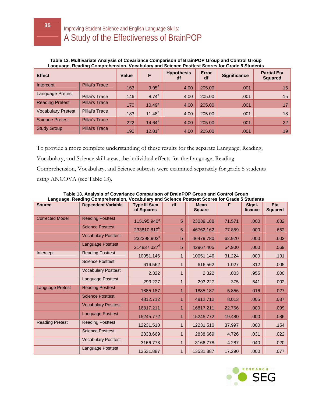**Table 12. Multivariate Analysis of Covariance Comparison of BrainPOP Group and Control Group Language, Reading Comprehension, Vocabulary and Science Posttest Scores for Grade 5 Students**

| <b>Effect</b>             |                       | Value | F           | <b>Hypothesis</b><br>df | <b>Error</b><br>df | <b>Significance</b> | <b>Partial Eta</b><br><b>Squared</b> |
|---------------------------|-----------------------|-------|-------------|-------------------------|--------------------|---------------------|--------------------------------------|
| Intercept                 | <b>Pillai's Trace</b> | .163  | $9.95^{a}$  | 4.00                    | 205.00             | .001                | .16                                  |
| Language Pretest          | <b>Pillai's Trace</b> | .146  | $8.74^{a}$  | 4.00                    | 205.00             | .001                | .15                                  |
| <b>Reading Pretest</b>    | <b>Pillai's Trace</b> | .170  | $10.49^{a}$ | 4.00                    | 205.00             | .001                | .17                                  |
| <b>Vocabulary Pretest</b> | Pillai's Trace        | .183  | $11.48^{a}$ | 4.00                    | 205.00             | .001                | .18                                  |
| <b>Science Pretest</b>    | <b>Pillai's Trace</b> | .222  | $14.64^a$   | 4.00                    | 205.00             | .001                | .22                                  |
| <b>Study Group</b>        | <b>Pillai's Trace</b> | .190  | $12.01^a$   | 4.00                    | 205.00             | .001                | .19                                  |

To provide a more complete understanding of these results for the separate Language, Reading,

Vocabulary, and Science skill areas, the individual effects for the Language, Reading

Comprehension, Vocabulary, and Science subtests were examined separately for grade 5 students using ANCOVA (see Table 13).

| <b>Source</b>           | <br><b>Dependent Variable</b> | <b>Type III Sum</b><br>of Squares | df | <b>Mean</b><br><b>Square</b> | F      | Signi-<br>ficance | Eta<br><b>Squared</b> |
|-------------------------|-------------------------------|-----------------------------------|----|------------------------------|--------|-------------------|-----------------------|
| <b>Corrected Model</b>  | <b>Reading Posttest</b>       | 115195.940 <sup>a</sup>           | 5  | 23039.188                    | 71.571 | .000              | .632                  |
|                         | <b>Science Posttest</b>       | 233810.810 <sup>b</sup>           | 5  | 46762.162                    | 77.859 | .000              | .652                  |
|                         | <b>Vocabulary Posttest</b>    | 232398.902 <sup>c</sup>           | 5  | 46479.780                    | 62.920 | .000              | .602                  |
|                         | <b>Language Posttest</b>      | 214837.027 <sup>d</sup>           | 5  | 42967.405                    | 54.900 | .000              | .569                  |
| Intercept               | <b>Reading Posttest</b>       | 10051.146                         |    | 10051.146                    | 31.224 | .000              | .131                  |
|                         | <b>Science Posttest</b>       | 616.562                           |    | 616.562                      | 1.027  | .312              | .005                  |
|                         | <b>Vocabulary Posttest</b>    | 2.322                             |    | 2.322                        | .003   | .955              | .000                  |
|                         | Language Posttest             | 293.227                           |    | 293.227                      | .375   | .541              | .002                  |
| <b>Language Pretest</b> | <b>Reading Posttest</b>       | 1885.187                          |    | 1885.187                     | 5.856  | .016              | .027                  |
|                         | <b>Science Posttest</b>       | 4812.712                          |    | 4812.712                     | 8.013  | .005              | .037                  |
|                         | <b>Vocabulary Posttest</b>    | 16817.211                         |    | 16817.211                    | 22.766 | .000              | .099                  |
|                         | <b>Language Posttest</b>      | 15245.772                         | 1  | 15245.772                    | 19.480 | .000              | .086                  |
| <b>Reading Pretest</b>  | <b>Reading Posttest</b>       | 12231.510                         |    | 12231.510                    | 37.997 | .000              | .154                  |
|                         | <b>Science Posttest</b>       | 2838.669                          |    | 2838.669                     | 4.726  | .031              | .022                  |
|                         | <b>Vocabulary Posttest</b>    | 3166.778                          |    | 3166.778                     | 4.287  | .040              | .020                  |
|                         | <b>Language Posttest</b>      | 13531.887                         |    | 13531.887                    | 17.290 | .000              | .077                  |

**Table 13. Analysis of Covariance Comparison of BrainPOP Group and Control Group Language, Reading Comprehension, Vocabulary and Science Posttest Scores for Grade 5 Students**

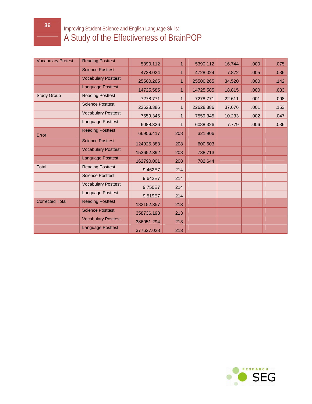| <b>Vocabulary Pretest</b> | <b>Reading Posttest</b>    | 5390.112   | 1   | 5390.112  | 16.744 | .000 | .075 |
|---------------------------|----------------------------|------------|-----|-----------|--------|------|------|
|                           | <b>Science Posttest</b>    | 4728.024   | 1   | 4728.024  | 7.872  | .005 | .036 |
|                           | <b>Vocabulary Posttest</b> | 25500.265  | 1   | 25500.265 | 34.520 | .000 | .142 |
|                           | <b>Language Posttest</b>   | 14725.585  | 1   | 14725.585 | 18.815 | .000 | .083 |
| <b>Study Group</b>        | <b>Reading Posttest</b>    | 7278.771   | 1   | 7278.771  | 22.611 | .001 | .098 |
|                           | <b>Science Posttest</b>    | 22628.386  | 1   | 22628.386 | 37.676 | .001 | .153 |
|                           | <b>Vocabulary Posttest</b> | 7559.345   | 1   | 7559.345  | 10.233 | .002 | .047 |
|                           | Language Posttest          | 6088.326   | 1   | 6088.326  | 7.779  | .006 | .036 |
| Error                     | <b>Reading Posttest</b>    | 66956.417  | 208 | 321.906   |        |      |      |
|                           | <b>Science Posttest</b>    | 124925.383 | 208 | 600.603   |        |      |      |
|                           | <b>Vocabulary Posttest</b> | 153652.392 | 208 | 738.713   |        |      |      |
|                           | <b>Language Posttest</b>   | 162790.001 | 208 | 782.644   |        |      |      |
| <b>Total</b>              | <b>Reading Posttest</b>    | 9.462E7    | 214 |           |        |      |      |
|                           | <b>Science Posttest</b>    | 9.642E7    | 214 |           |        |      |      |
|                           | <b>Vocabulary Posttest</b> | 9.750E7    | 214 |           |        |      |      |
|                           | Language Posttest          | 9.519E7    | 214 |           |        |      |      |
| <b>Corrected Total</b>    | <b>Reading Posttest</b>    | 182152.357 | 213 |           |        |      |      |
|                           | <b>Science Posttest</b>    | 358736.193 | 213 |           |        |      |      |
|                           | <b>Vocabulary Posttest</b> | 386051.294 | 213 |           |        |      |      |
|                           | <b>Language Posttest</b>   | 377627.028 | 213 |           |        |      |      |

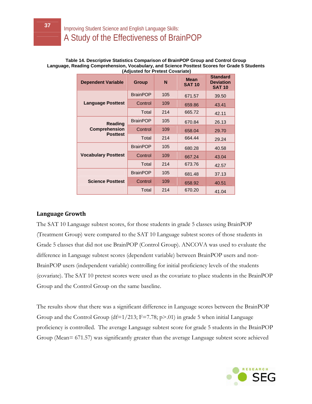#### **Table 14. Descriptive Statistics Comparison of BrainPOP Group and Control Group Language, Reading Comprehension, Vocabulary, and Science Posttest Scores for Grade 5 Students (Adjusted for Pretest Covariate)**

| <b>Dependent Variable</b>              | <b>Group</b>    |     | <b>Mean</b><br><b>SAT 10</b> | <b>Standard</b><br><b>Deviation</b><br><b>SAT 10</b> |
|----------------------------------------|-----------------|-----|------------------------------|------------------------------------------------------|
|                                        | <b>BrainPOP</b> | 105 | 671.57                       | 39.50                                                |
| <b>Language Posttest</b>               | Control         | 109 | 659.86                       | 43.41                                                |
|                                        | Total           | 214 | 665.72                       | 42.11                                                |
| <b>Reading</b><br><b>Comprehension</b> | <b>BrainPOP</b> | 105 | 670.84                       | 26.13                                                |
|                                        | Control         | 109 | 658.04                       | 29.70                                                |
| <b>Posttest</b>                        | Total           | 214 | 664.44                       | 29.24                                                |
|                                        | <b>BrainPOP</b> | 105 | 680.28                       | 40.58                                                |
| <b>Vocabulary Posttest</b>             | Control         | 109 | 667.24                       | 43.04                                                |
|                                        | Total           | 214 | 673.76                       | 42.57                                                |
|                                        | <b>BrainPOP</b> | 105 | 681.48                       | 37.13                                                |
| <b>Science Posttest</b>                | Control         | 109 | 658.92                       | 40.51                                                |
|                                        | Total           | 214 | 670.20                       | 41.04                                                |

#### **Language Growth**

The SAT 10 Language subtest scores, for those students in grade 5 classes using BrainPOP (Treatment Group) were compared to the SAT 10 Language subtest scores of those students in Grade 5 classes that did not use BrainPOP (Control Group). ANCOVA was used to evaluate the difference in Language subtest scores (dependent variable) between BrainPOP users and non-BrainPOP users (independent variable) controlling for initial proficiency levels of the students (covariate). The SAT 10 pretest scores were used as the covariate to place students in the BrainPOP Group and the Control Group on the same baseline.

The results show that there was a significant difference in Language scores between the BrainPOP Group and the Control Group (df= $1/213$ ; F=7.78; p>.01) in grade 5 when initial Language proficiency is controlled. The average Language subtest score for grade 5 students in the BrainPOP Group (Mean= 671.57) was significantly greater than the average Language subtest score achieved

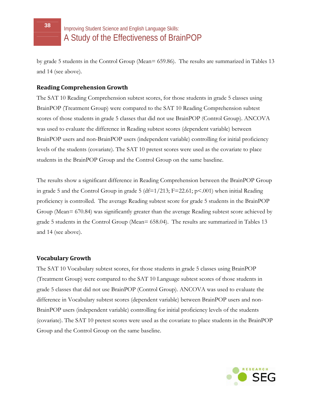by grade 5 students in the Control Group (Mean= 659.86). The results are summarized in Tables 13 and 14 (see above).

#### **Reading Comprehension Growth**

The SAT 10 Reading Comprehension subtest scores, for those students in grade 5 classes using BrainPOP (Treatment Group) were compared to the SAT 10 Reading Comprehension subtest scores of those students in grade 5 classes that did not use BrainPOP (Control Group). ANCOVA was used to evaluate the difference in Reading subtest scores (dependent variable) between BrainPOP users and non-BrainPOP users (independent variable) controlling for initial proficiency levels of the students (covariate). The SAT 10 pretest scores were used as the covariate to place students in the BrainPOP Group and the Control Group on the same baseline.

The results show a significant difference in Reading Comprehension between the BrainPOP Group in grade 5 and the Control Group in grade 5 (df= $1/213$ ; F=22.61; p<.001) when initial Reading proficiency is controlled. The average Reading subtest score for grade 5 students in the BrainPOP Group (Mean= 670.84) was significantly greater than the average Reading subtest score achieved by grade 5 students in the Control Group (Mean= 658.04). The results are summarized in Tables 13 and 14 (see above).

#### **Vocabulary Growth**

The SAT 10 Vocabulary subtest scores, for those students in grade 5 classes using BrainPOP (Treatment Group) were compared to the SAT 10 Language subtest scores of those students in grade 5 classes that did not use BrainPOP (Control Group). ANCOVA was used to evaluate the difference in Vocabulary subtest scores (dependent variable) between BrainPOP users and non-BrainPOP users (independent variable) controlling for initial proficiency levels of the students (covariate). The SAT 10 pretest scores were used as the covariate to place students in the BrainPOP Group and the Control Group on the same baseline.

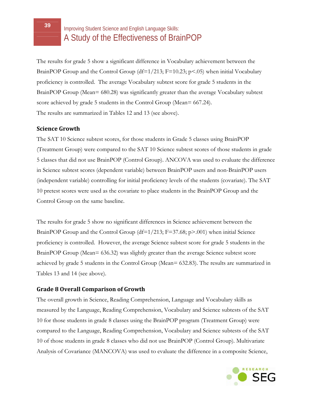The results for grade 5 show a significant difference in Vocabulary achievement between the BrainPOP Group and the Control Group (df= $1/213$ ; F=10.23; p<.05) when initial Vocabulary proficiency is controlled. The average Vocabulary subtest score for grade 5 students in the BrainPOP Group (Mean= 680.28) was significantly greater than the average Vocabulary subtest score achieved by grade 5 students in the Control Group (Mean= 667.24). The results are summarized in Tables 12 and 13 (see above).

#### **Science Growth**

The SAT 10 Science subtest scores, for those students in Grade 5 classes using BrainPOP (Treatment Group) were compared to the SAT 10 Science subtest scores of those students in grade 5 classes that did not use BrainPOP (Control Group). ANCOVA was used to evaluate the difference in Science subtest scores (dependent variable) between BrainPOP users and non-BrainPOP users (independent variable) controlling for initial proficiency levels of the students (covariate). The SAT 10 pretest scores were used as the covariate to place students in the BrainPOP Group and the Control Group on the same baseline.

The results for grade 5 show no significant differences in Science achievement between the BrainPOP Group and the Control Group (df=1/213; F=37.68; p>.001) when initial Science proficiency is controlled. However, the average Science subtest score for grade 5 students in the BrainPOP Group (Mean= 636.32) was slightly greater than the average Science subtest score achieved by grade 5 students in the Control Group (Mean= 632.83). The results are summarized in Tables 13 and 14 (see above).

#### **Grade 8 Overall Comparison of Growth**

The overall growth in Science, Reading Comprehension, Language and Vocabulary skills as measured by the Language, Reading Comprehension, Vocabulary and Science subtests of the SAT 10 for those students in grade 8 classes using the BrainPOP program (Treatment Group) were compared to the Language, Reading Comprehension, Vocabulary and Science subtests of the SAT 10 of those students in grade 8 classes who did not use BrainPOP (Control Group). Multivariate Analysis of Covariance (MANCOVA) was used to evaluate the difference in a composite Science,

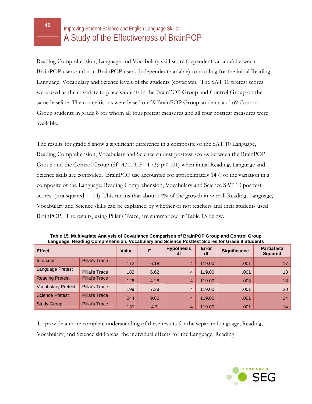Reading Comprehension, Language and Vocabulary skill score (dependent variable) between BrainPOP users and non-BrainPOP users (independent variable) controlling for the initial Reading, Language, Vocabulary and Science levels of the students (covariate). The SAT 10 pretest scores were used as the covariate to place students in the BrainPOP Group and Control Group on the same baseline. The comparisons were based on 59 BrainPOP Group students and 69 Control Group students in grade 8 for whom all four pretest measures and all four posttest measures were available.

The results for grade 8 show a significant difference in a composite of the SAT 10 Language, Reading Comprehension, Vocabulary and Science subtest posttest scores between the BrainPOP Group and the Control Group (df=4/119; F=4.73; p<.001) when initial Reading, Language and Science skills are controlled. BrainPOP use accounted for approximately 14% of the variation in a composite of the Language, Reading Comprehension, Vocabulary and Science SAT 10 posttest scores. (Eta squared = .14). This means that about 14% of the growth in overall Reading, Language, Vocabulary and Science skills can be explained by whether or not teachers and their students used BrainPOP. The results, using Pillai's Trace, are summarized in Table 15 below.

| <b>Effect</b>             |                       | Value |             | <b>Hypothesis</b><br>df | <b>Error</b><br>df | <b>Significance</b> | <b>Partial Eta</b><br><b>Squared</b> |  |
|---------------------------|-----------------------|-------|-------------|-------------------------|--------------------|---------------------|--------------------------------------|--|
| Intercept                 | <b>Pillai's Trace</b> | .172  | 6.18        | $\overline{4}$          | 119.00             | .001                | .17                                  |  |
| <b>Language Pretest</b>   | Pillai's Trace        | .182  | 6.62        | 4                       | 119.00             | .001                | .18                                  |  |
| <b>Reading Pretest</b>    | <b>Pillai's Trace</b> | .126  | 4.28        | $\overline{4}$          | 119.00             | .003                | .13                                  |  |
| <b>Vocabulary Pretest</b> | Pillai's Trace        | .199  | 7.38        | 4                       | 119.00             | .001                | .20                                  |  |
| <b>Science Pretest</b>    | <b>Pillai's Trace</b> | .244  | 9.60        | $\overline{4}$          | 119.00             | .001                | .24                                  |  |
| <b>Study Group</b>        | <b>Pillai's Trace</b> | .137  | $4.7^{3/2}$ | $\overline{4}$          | 119.00             | .001                | .14                                  |  |

**Table 15. Multivariate Analysis of Covariance Comparison of BrainPOP Group and Control Group Language, Reading Comprehension, Vocabulary and Science Posttest Scores for Grade 8 Students**

To provide a more complete understanding of these results for the separate Language, Reading, Vocabulary, and Science skill areas, the individual effects for the Language, Reading

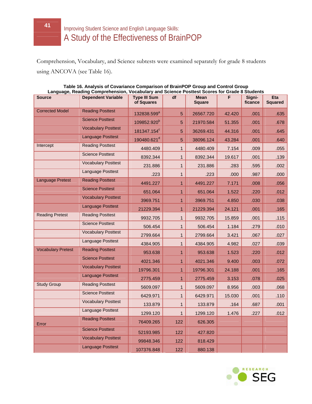Comprehension, Vocabulary, and Science subtests were examined separately for grade 8 students using ANCOVA (see Table 16).

| <b>Source</b>             | Language, Reading Comprehension, Vocabulary and Science Posttest Scores for Grade 8 Students<br><b>Dependent Variable</b> | <b>Type III Sum</b>     | df           | <b>Mean</b>   | F.     | Signi-  | <b>Eta</b>     |
|---------------------------|---------------------------------------------------------------------------------------------------------------------------|-------------------------|--------------|---------------|--------|---------|----------------|
|                           |                                                                                                                           | of Squares              |              | <b>Square</b> |        | ficance | <b>Squared</b> |
| <b>Corrected Model</b>    | <b>Reading Posttest</b>                                                                                                   |                         |              |               |        |         | .635           |
|                           | <b>Science Posttest</b>                                                                                                   | 132838.599 <sup>a</sup> | 5            | 26567.720     | 42.420 | .001    |                |
|                           | <b>Vocabulary Posttest</b>                                                                                                | 109852.920 <sup>b</sup> | 5            | 21970.584     | 51.355 | .001    | .678           |
|                           | <b>Language Posttest</b>                                                                                                  | 181347.154 <sup>c</sup> | 5            | 36269.431     | 44.316 | .001    | .645           |
| Intercept                 | <b>Reading Posttest</b>                                                                                                   | 190480.621 <sup>d</sup> | 5            | 38096.124     | 43.284 | .001    | .640           |
|                           |                                                                                                                           | 4480.409                | $\mathbf 1$  | 4480.409      | 7.154  | .009    | .055           |
|                           | <b>Science Posttest</b>                                                                                                   | 8392.344                | $\mathbf{1}$ | 8392.344      | 19.617 | .001    | .139           |
|                           | <b>Vocabulary Posttest</b>                                                                                                | 231.886                 | $\mathbf{1}$ | 231.886       | .283   | .595    | .002           |
|                           | Language Posttest                                                                                                         | .223                    | $\mathbf{1}$ | .223          | .000   | .987    | .000           |
| <b>Language Pretest</b>   | <b>Reading Posttest</b>                                                                                                   | 4491.227                | $\mathbf{1}$ | 4491.227      | 7.171  | .008    | .056           |
|                           | <b>Science Posttest</b>                                                                                                   | 651.064                 | $\mathbf{1}$ | 651.064       | 1.522  | .220    | .012           |
|                           | <b>Vocabulary Posttest</b>                                                                                                | 3969.751                | $\mathbf{1}$ | 3969.751      | 4.850  | .030    | .038           |
|                           | <b>Language Posttest</b>                                                                                                  | 21229.394               | 1            | 21229.394     | 24.121 | .001    | .165           |
| <b>Reading Pretest</b>    | <b>Reading Posttest</b>                                                                                                   | 9932.705                | $\mathbf{1}$ | 9932.705      | 15.859 | .001    | .115           |
|                           | <b>Science Posttest</b>                                                                                                   | 506.454                 | $\mathbf{1}$ | 506.454       | 1.184  | .279    | .010           |
|                           | <b>Vocabulary Posttest</b>                                                                                                | 2799.664                | $\mathbf{1}$ | 2799.664      | 3.421  | .067    | .027           |
|                           | Language Posttest                                                                                                         | 4384.905                | $\mathbf{1}$ | 4384.905      | 4.982  | .027    | .039           |
| <b>Vocabulary Pretest</b> | <b>Reading Posttest</b>                                                                                                   | 953.638                 | $\mathbf{1}$ | 953.638       | 1.523  | .220    | .012           |
|                           | <b>Science Posttest</b>                                                                                                   | 4021.346                | $\mathbf{1}$ | 4021.346      | 9.400  | .003    | .072           |
|                           | <b>Vocabulary Posttest</b>                                                                                                | 19796.301               | $\mathbf{1}$ | 19796.301     | 24.188 | .001    | .165           |
|                           | <b>Language Posttest</b>                                                                                                  | 2775.459                | $\mathbf{1}$ | 2775.459      | 3.153  | .078    | .025           |
| <b>Study Group</b>        | <b>Reading Posttest</b>                                                                                                   | 5609.097                | $\mathbf{1}$ | 5609.097      | 8.956  | .003    | .068           |
|                           | <b>Science Posttest</b>                                                                                                   | 6429.971                | $\mathbf{1}$ | 6429.971      | 15.030 | .001    | .110           |
|                           | <b>Vocabulary Posttest</b>                                                                                                | 133.879                 | $\mathbf{1}$ | 133.879       | .164   | .687    | .001           |
|                           | Language Posttest                                                                                                         | 1299.120                | $\mathbf{1}$ | 1299.120      | 1.476  | .227    | .012           |
| Error                     | <b>Reading Posttest</b>                                                                                                   | 76409.265               | 122          | 626.305       |        |         |                |
|                           | <b>Science Posttest</b>                                                                                                   | 52193.985               | 122          | 427.820       |        |         |                |
|                           | <b>Vocabulary Posttest</b>                                                                                                | 99848.346               | 122          | 818.429       |        |         |                |
|                           | <b>Language Posttest</b>                                                                                                  | 107376.848              | 122          | 880.138       |        |         |                |

#### **Table 16. Analysis of Covariance Comparison of BrainPOP Group and Control Group Language, Reading Comprehension, Vocabulary and Science Posttest Scores for Grade 8 Students**

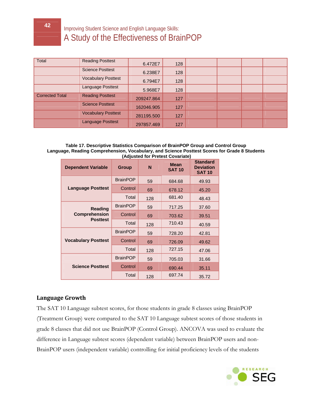| Total                  | <b>Reading Posttest</b>    | 6.472E7    | 128 |  |  |
|------------------------|----------------------------|------------|-----|--|--|
|                        | <b>Science Posttest</b>    | 6.238E7    | 128 |  |  |
|                        | <b>Vocabulary Posttest</b> | 6.794E7    | 128 |  |  |
|                        | Language Posttest          | 5.968E7    | 128 |  |  |
| <b>Corrected Total</b> | <b>Reading Posttest</b>    | 209247.864 | 127 |  |  |
|                        | <b>Science Posttest</b>    | 162046.905 | 127 |  |  |
|                        | <b>Vocabulary Posttest</b> | 281195.500 | 127 |  |  |
|                        | <b>Language Posttest</b>   | 297857.469 | 127 |  |  |

#### **Table 17. Descriptive Statistics Comparison of BrainPOP Group and Control Group Language, Reading Comprehension, Vocabulary, and Science Posttest Scores for Grade 8 Students (Adjusted for Pretest Covariate)**

| <b>Dependent Variable</b>  | <b>Group</b>    | N   | <b>Mean</b><br><b>SAT 10</b> | <b>Standard</b><br><b>Deviation</b><br><b>SAT 10</b> |
|----------------------------|-----------------|-----|------------------------------|------------------------------------------------------|
|                            | <b>BrainPOP</b> | 59  | 684.68                       | 49.93                                                |
| <b>Language Posttest</b>   | Control         | 69  | 678.12                       | 45.20                                                |
|                            | Total           | 128 | 681.40                       | 48.43                                                |
| <b>Reading</b>             | <b>BrainPOP</b> | 59  | 717.25                       | 37.60                                                |
| <b>Comprehension</b>       | Control         | 69  | 703.62                       | 39.51                                                |
| <b>Posttest</b>            | Total           | 128 | 710.43                       | 40.59                                                |
|                            | <b>BrainPOP</b> | 59  | 728.20                       | 42.81                                                |
| <b>Vocabulary Posttest</b> | Control         | 69  | 726.09                       | 49.62                                                |
|                            | Total           | 128 | 727.15                       | 47.06                                                |
|                            | <b>BrainPOP</b> | 59  | 705.03                       | 31.66                                                |
| <b>Science Posttest</b>    | Control         | 69  | 690.44                       | 35.11                                                |
|                            | Total           | 128 | 697.74                       | 35.72                                                |

#### **Language Growth**

The SAT 10 Language subtest scores, for those students in grade 8 classes using BrainPOP (Treatment Group) were compared to the SAT 10 Language subtest scores of those students in grade 8 classes that did not use BrainPOP (Control Group). ANCOVA was used to evaluate the difference in Language subtest scores (dependent variable) between BrainPOP users and non-BrainPOP users (independent variable) controlling for initial proficiency levels of the students

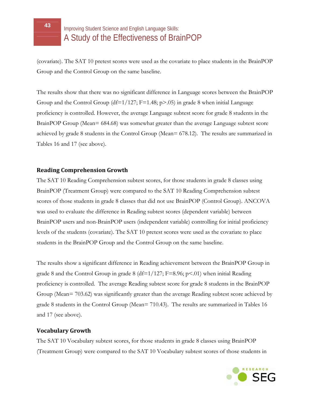(covariate). The SAT 10 pretest scores were used as the covariate to place students in the BrainPOP Group and the Control Group on the same baseline.

The results show that there was no significant difference in Language scores between the BrainPOP Group and the Control Group (df= $1/127$ ; F=1.48; p>.05) in grade 8 when initial Language proficiency is controlled. However, the average Language subtest score for grade 8 students in the BrainPOP Group (Mean= 684.68) was somewhat greater than the average Language subtest score achieved by grade 8 students in the Control Group (Mean= 678.12). The results are summarized in Tables 16 and 17 (see above).

#### **Reading Comprehension Growth**

The SAT 10 Reading Comprehension subtest scores, for those students in grade 8 classes using BrainPOP (Treatment Group) were compared to the SAT 10 Reading Comprehension subtest scores of those students in grade 8 classes that did not use BrainPOP (Control Group). ANCOVA was used to evaluate the difference in Reading subtest scores (dependent variable) between BrainPOP users and non-BrainPOP users (independent variable) controlling for initial proficiency levels of the students (covariate). The SAT 10 pretest scores were used as the covariate to place students in the BrainPOP Group and the Control Group on the same baseline.

The results show a significant difference in Reading achievement between the BrainPOP Group in grade 8 and the Control Group in grade 8 (df= $1/127$ ; F=8.96; p<.01) when initial Reading proficiency is controlled. The average Reading subtest score for grade 8 students in the BrainPOP Group (Mean= 703.62) was significantly greater than the average Reading subtest score achieved by grade 8 students in the Control Group (Mean= 710.43). The results are summarized in Tables 16 and 17 (see above).

#### **Vocabulary Growth**

The SAT 10 Vocabulary subtest scores, for those students in grade 8 classes using BrainPOP (Treatment Group) were compared to the SAT 10 Vocabulary subtest scores of those students in

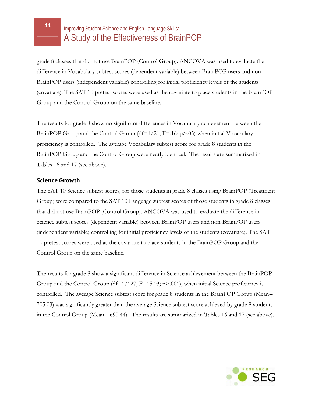grade 8 classes that did not use BrainPOP (Control Group). ANCOVA was used to evaluate the difference in Vocabulary subtest scores (dependent variable) between BrainPOP users and non-BrainPOP users (independent variable) controlling for initial proficiency levels of the students (covariate). The SAT 10 pretest scores were used as the covariate to place students in the BrainPOP Group and the Control Group on the same baseline.

The results for grade 8 show no significant differences in Vocabulary achievement between the BrainPOP Group and the Control Group (df=1/21;  $F = .16$ ;  $p > .05$ ) when initial Vocabulary proficiency is controlled. The average Vocabulary subtest score for grade 8 students in the BrainPOP Group and the Control Group were nearly identical. The results are summarized in Tables 16 and 17 (see above).

#### **Science Growth**

The SAT 10 Science subtest scores, for those students in grade 8 classes using BrainPOP (Treatment Group) were compared to the SAT 10 Language subtest scores of those students in grade 8 classes that did not use BrainPOP (Control Group). ANCOVA was used to evaluate the difference in Science subtest scores (dependent variable) between BrainPOP users and non-BrainPOP users (independent variable) controlling for initial proficiency levels of the students (covariate). The SAT 10 pretest scores were used as the covariate to place students in the BrainPOP Group and the Control Group on the same baseline.

The results for grade 8 show a significant difference in Science achievement between the BrainPOP Group and the Control Group (df= $1/127$ ; F=15.03; p>.001), when initial Science proficiency is controlled. The average Science subtest score for grade 8 students in the BrainPOP Group (Mean= 705.03) was significantly greater than the average Science subtest score achieved by grade 8 students in the Control Group (Mean= 690.44). The results are summarized in Tables 16 and 17 (see above).

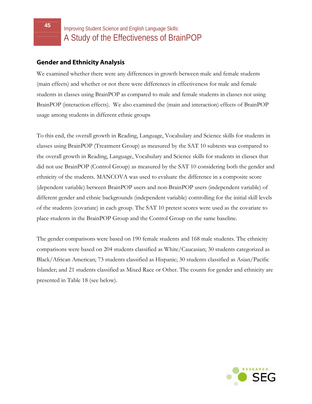#### **Gender and Ethnicity Analysis**

We examined whether there were any differences in growth between male and female students (main effects) and whether or not there were differences in effectiveness for male and female students in classes using BrainPOP as compared to male and female students in classes not using BrainPOP (interaction effects).We also examined the (main and interaction) effects of BrainPOP usage among students in different ethnic groups

To this end, the overall growth in Reading, Language, Vocabulary and Science skills for students in classes using BrainPOP (Treatment Group) as measured by the SAT 10 subtests was compared to the overall growth in Reading, Language, Vocabulary and Science skills for students in classes that did not use BrainPOP (Control Group) as measured by the SAT 10 considering both the gender and ethnicity of the students. MANCOVA was used to evaluate the difference in a composite score (dependent variable) between BrainPOP users and non-BrainPOP users (independent variable) of different gender and ethnic backgrounds (independent variable) controlling for the initial skill levels of the students (covariate) in each group. The SAT 10 pretest scores were used as the covariate to place students in the BrainPOP Group and the Control Group on the same baseline.

The gender comparisons were based on 190 female students and 168 male students. The ethnicity comparisons were based on 204 students classified as White/Caucasian; 30 students categorized as Black/African American; 73 students classified as Hispanic; 30 students classified as Asian/Pacific Islander; and 21 students classified as Mixed Race or Other. The counts for gender and ethnicity are presented in Table 18 (see below).

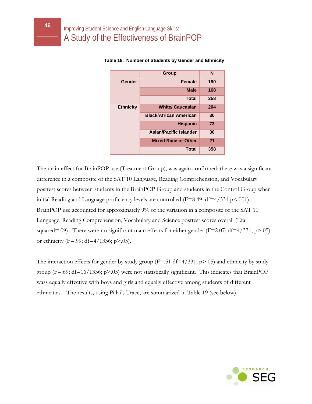|                  | <b>Group</b>                  | N   |
|------------------|-------------------------------|-----|
| Gender           | <b>Female</b>                 | 190 |
|                  | <b>Male</b>                   | 168 |
|                  | <b>Total</b>                  | 358 |
| <b>Ethnicity</b> | <b>White/ Caucasian</b>       | 204 |
|                  | <b>Black/African American</b> | 30  |
|                  | <b>Hispanic</b>               | 73  |
|                  | <b>Asian/Pacific Islander</b> | 30  |
|                  | <b>Mixed Race or Other</b>    | 21  |
|                  | <b>Total</b>                  | 358 |

 **Table 18. Number of Students by Gender and Ethnicity** 

The main effect for BrainPOP use (Treatment Group), was again confirmed; there was a significant difference in a composite of the SAT 10 Language, Reading Comprehension, and Vocabulary posttest scores between students in the BrainPOP Group and students in the Control Group when initial Reading and Language proficiency levels are controlled ( $F=8.49$ ;  $df=4/331$  p<.001). BrainPOP use accounted for approximately 9% of the variation in a composite of the SAT 10 Language, Reading Comprehension, Vocabulary and Science posttest scores overall (Eta squared=.09). There were no significant main effects for either gender (F=2.07; df=4/331; p>.05) or ethnicity (F=.99; df=4/1336; p>.05).

The interaction effects for gender by study group ( $F = .51$  df $= 4/331$ ; p $> .05$ ) and ethnicity by study group (F=.69; df=16/1336; p>.05) were not statistically significant. This indicates that BrainPOP wass equally effective with boys and girls and equally effective among students of different ethnicities. The results, using Pillai's Trace, are summarized in Table 19 (see below).

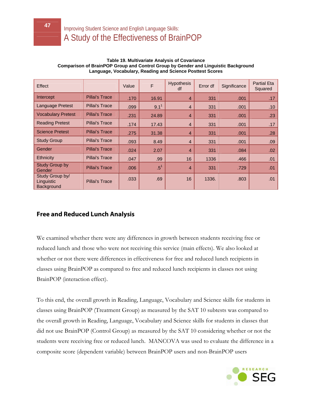| Effect                                      |                       | Value | F                | <b>Hypothesis</b><br>df | Error df | Significance | <b>Partial Eta</b><br>Squared |
|---------------------------------------------|-----------------------|-------|------------------|-------------------------|----------|--------------|-------------------------------|
| Intercept                                   | <b>Pillai's Trace</b> | .170  | 16.91            | $\overline{4}$          | 331      | .001         | .17                           |
| Language Pretest                            | Pillai's Trace        | .099  | 9.1 <sup>1</sup> | $\overline{4}$          | 331      | .001         | .10                           |
| <b>Vocabulary Pretest</b>                   | <b>Pillai's Trace</b> | .231  | 24.89            | $\overline{4}$          | 331      | .001         | .23                           |
| <b>Reading Pretest</b>                      | <b>Pillai's Trace</b> | .174  | 17.43            | $\overline{4}$          | 331      | .001         | .17                           |
| <b>Science Pretest</b>                      | Pillai's Trace        | .275  | 31.38            | 4                       | 331      | .001         | .28                           |
| <b>Study Group</b>                          | Pillai's Trace        | .093  | 8.49             | $\overline{4}$          | 331      | .001         | .09                           |
| Gender                                      | <b>Pillai's Trace</b> | .024  | 2.07             | 4                       | 331      | .084         | .02                           |
| <b>Ethnicity</b>                            | Pillai's Trace        | .047  | .99              | 16                      | 1336     | .466         | .01                           |
| <b>Study Group by</b><br>Gender             | <b>Pillai's Trace</b> | .006  | .5 <sup>1</sup>  | $\overline{4}$          | 331      | .729         | .01                           |
| Study Group by/<br>Linguistic<br>Background | Pillai's Trace        | .033  | .69              | 16                      | 1336.    | .803         | .01                           |

#### **Table 19. Multivariate Analysis of Covariance Comparison of BrainPOP Group and Control Group by Gender and Linguistic Background Language, Vocabulary, Reading and Science Posttest Scores**

#### **Free and Reduced Lunch Analysis**

We examined whether there were any differences in growth between students receiving free or reduced lunch and those who were not receiving this service (main effects). We also looked at whether or not there were differences in effectiveness for free and reduced lunch recipients in classes using BrainPOP as compared to free and reduced lunch recipients in classes not using BrainPOP (interaction effect).

To this end, the overall growth in Reading, Language, Vocabulary and Science skills for students in classes using BrainPOP (Treatment Group) as measured by the SAT 10 subtests was compared to the overall growth in Reading, Language, Vocabulary and Science skills for students in classes that did not use BrainPOP (Control Group) as measured by the SAT 10 considering whether or not the students were receiving free or reduced lunch. MANCOVA was used to evaluate the difference in a composite score (dependent variable) between BrainPOP users and non-BrainPOP users

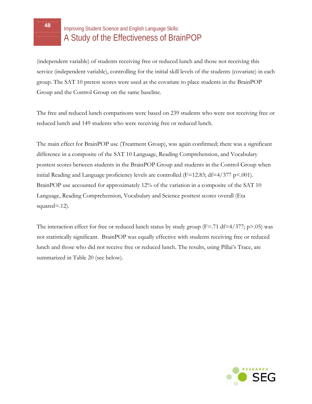(independent variable) of students receiving free or reduced lunch and those not receiving this service (independent variable), controlling for the initial skill levels of the students (covariate) in each group. The SAT 10 pretest scores were used as the covariate to place students in the BrainPOP Group and the Control Group on the same baseline.

The free and reduced lunch comparisons were based on 239 students who were not receiving free or reduced lunch and 149 students who were receiving free or reduced lunch.

The main effect for BrainPOP use (Treatment Group), was again confirmed; there was a significant difference in a composite of the SAT 10 Language, Reading Comprehension, and Vocabulary posttest scores between students in the BrainPOP Group and students in the Control Group when initial Reading and Language proficiency levels are controlled ( $F=12.83$ ; df $=4/377$  p<.001). BrainPOP use accounted for approximately 12% of the variation in a composite of the SAT 10 Language, Reading Comprehension, Vocabulary and Science posttest scores overall (Eta squared=.12).

The interaction effect for free or reduced lunch status by study group ( $F = .71 df = 4/377$ ; p $> .05$ ) was not statistically significant. BrainPOP was equally effective with students receiving free or reduced lunch and those who did not receive free or reduced lunch. The results, using Pillai's Trace, are summarized in Table 20 (see below).

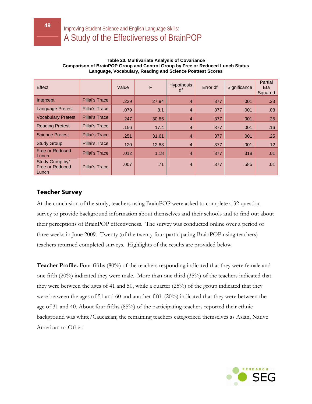| Effect                                             |                       | Value | F     | <b>Hypothesis</b><br>df | Error df | Significance | Partial<br>Eta<br>Squared |
|----------------------------------------------------|-----------------------|-------|-------|-------------------------|----------|--------------|---------------------------|
| Intercept                                          | <b>Pillai's Trace</b> | .229  | 27.94 | $\overline{4}$          | 377      | .001         | .23                       |
| <b>Language Pretest</b>                            | <b>Pillai's Trace</b> | .079  | 8.1   | $\overline{4}$          | 377      | .001         | .08                       |
| <b>Vocabulary Pretest</b>                          | <b>Pillai's Trace</b> | .247  | 30.85 | $\overline{4}$          | 377      | .001         | .25                       |
| <b>Reading Pretest</b>                             | <b>Pillai's Trace</b> | .156  | 17.4  | $\overline{4}$          | 377      | .001         | .16                       |
| <b>Science Pretest</b>                             | <b>Pillai's Trace</b> | .251  | 31.61 | $\overline{4}$          | 377      | .001         | .25                       |
| <b>Study Group</b>                                 | <b>Pillai's Trace</b> | .120  | 12.83 | $\overline{4}$          | 377      | .001         | .12                       |
| <b>Free or Reduced</b><br>Lunch                    | <b>Pillai's Trace</b> | .012  | 1.18  | $\overline{4}$          | 377      | .318         | .01                       |
| Study Group by/<br><b>Free or Reduced</b><br>Lunch | <b>Pillai's Trace</b> | .007  | .71   | $\overline{4}$          | 377      | .585         | .01                       |

#### **Table 20. Multivariate Analysis of Covariance Comparison of BrainPOP Group and Control Group by Free or Reduced Lunch Status Language, Vocabulary, Reading and Science Posttest Scores**

#### **Teacher Survey**

At the conclusion of the study, teachers using BrainPOP were asked to complete a 32 question survey to provide background information about themselves and their schools and to find out about their perceptions of BrainPOP effectiveness. The survey was conducted online over a period of three weeks in June 2009. Twenty (of the twenty four participating BrainPOP using teachers) teachers returned completed surveys. Highlights of the results are provided below.

**Teacher Profile.** Four fifths (80%) of the teachers responding indicated that they were female and one fifth (20%) indicated they were male. More than one third (35%) of the teachers indicated that they were between the ages of 41 and 50, while a quarter (25%) of the group indicated that they were between the ages of 51 and 60 and another fifth (20%) indicated that they were between the age of 31 and 40. About four fifths (85%) of the participating teachers reported their ethnic background was white/Caucasian; the remaining teachers categorized themselves as Asian, Native American or Other.

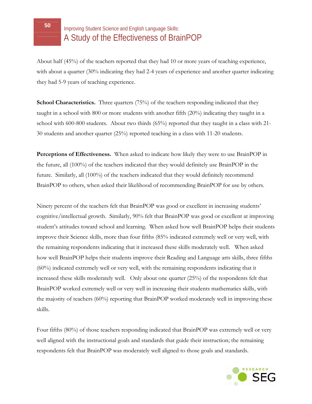About half (45%) of the teachers reported that they had 10 or more years of teaching experience, with about a quarter (30% indicating they had 2-4 years of experience and another quarter indicating they had 5-9 years of teaching experience.

**School Characteristics.** Three quarters (75%) of the teachers responding indicated that they taught in a school with 800 or more students with another fifth (20%) indicating they taught in a school with 600-800 students. About two thirds (65%) reported that they taught in a class with 21- 30 students and another quarter (25%) reported teaching in a class with 11-20 students.

**Perceptions of Effectiveness.** When asked to indicate how likely they were to use BrainPOP in the future, all (100%) of the teachers indicated that they would definitely use BrainPOP in the future. Similarly, all (100%) of the teachers indicated that they would definitely recommend BrainPOP to others, when asked their likelihood of recommending BrainPOP for use by others.

Ninety percent of the teachers felt that BrainPOP was good or excellent in increasing students' cognitive/intellectual growth. Similarly, 90% felt that BrainPOP was good or excellent at improving student's attitudes toward school and learning. When asked how well BrainPOP helps their students improve their Science skills, more than four fifths (85% indicated extremely well or very well, with the remaining respondents indicating that it increased these skills moderately well. When asked how well BrainPOP helps their students improve their Reading and Language arts skills, three fifths (60%) indicated extremely well or very well, with the remaining respondents indicating that it increased these skills moderately well. Only about one quarter (25%) of the respondents felt that BrainPOP worked extremely well or very well in increasing their students mathematics skills, with the majority of teachers (60%) reporting that BrainPOP worked moderately well in improving these skills.

Four fifths (80%) of those teachers responding indicated that BrainPOP was extremely well or very well aligned with the instructional goals and standards that guide their instruction; the remaining respondents felt that BrainPOP was moderately well aligned to those goals and standards.

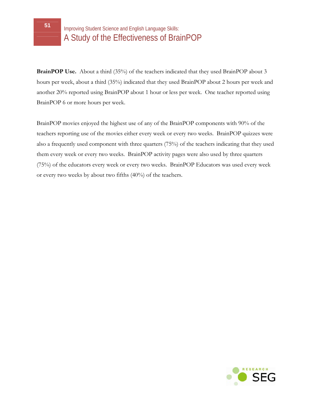**BrainPOP Use.** About a third (35%) of the teachers indicated that they used BrainPOP about 3 hours per week, about a third (35%) indicated that they used BrainPOP about 2 hours per week and another 20% reported using BrainPOP about 1 hour or less per week. One teacher reported using BrainPOP 6 or more hours per week.

BrainPOP movies enjoyed the highest use of any of the BrainPOP components with 90% of the teachers reporting use of the movies either every week or every two weeks. BrainPOP quizzes were also a frequently used component with three quarters (75%) of the teachers indicating that they used them every week or every two weeks. BrainPOP activity pages were also used by three quarters (75%) of the educators every week or every two weeks. BrainPOP Educators was used every week or every two weeks by about two fifths (40%) of the teachers.

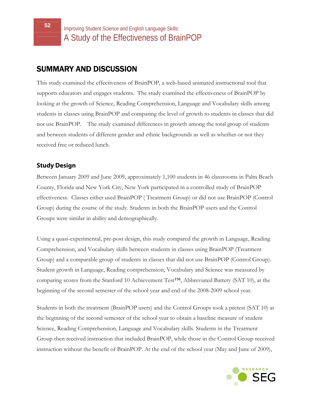### SUMMARY AND DISCUSSION

This study examined the effectiveness of BrainPOP, a web-based animated instructional tool that supports educators and engages students. The study examined the effectiveness of BrainPOP by looking at the growth of Science, Reading Comprehension, Language and Vocabulary skills among students in classes using BrainPOP and comparing the level of growth to students in classes that did not use BrainPOP. The study examined differences in growth among the total group of students and between students of different gender and ethnic backgrounds as well as whether or not they received free or reduced lunch.

#### **Study Design**

Between January 2009 and June 2009, approximately 1,100 students in 46 classrooms in Palm Beach County, Florida and New York City, New York participated in a controlled study of BrainPOP effectiveness. Classes either used BrainPOP ( Treatment Group) or did not use BrainPOP (Control Group) during the course of the study. Students in both the BrainPOP users and the Control Groups were similar in ability and demographically.

Using a quasi-experimental, pre-post design, this study compared the growth in Language, Reading Comprehension, and Vocabulary skills between students in classes using BrainPOP (Treatment Group) and a comparable group of students in classes that did not use BrainPOP (Control Group). Student growth in Language, Reading comprehension, Vocabulary and Science was measured by comparing scores from the Stanford 10 Achievement Test™, Abbreviated Battery (SAT 10), at the beginning of the second semester of the school year and end of the 2008-2009 school year.

Students in both the treatment (BrainPOP users) and the Control Groups took a pretest (SAT 10) at the beginning of the second semester of the school year to obtain a baseline measure of student Science, Reading Comprehension, Language and Vocabulary skills. Students in the Treatment Group then received instruction that included BrainPOP, while those in the Control Group received instruction without the benefit of BrainPOP. At the end of the school year (May and June of 2009),

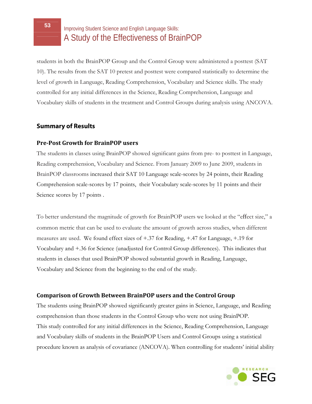students in both the BrainPOP Group and the Control Group were administered a posttest (SAT 10). The results from the SAT 10 pretest and posttest were compared statistically to determine the level of growth in Language, Reading Comprehension, Vocabulary and Science skills. The study controlled for any initial differences in the Science, Reading Comprehension, Language and Vocabulary skills of students in the treatment and Control Groups during analysis using ANCOVA.

#### **Summary of Results**

#### **PrePost Growth for BrainPOP users**

The students in classes using BrainPOP showed significant gains from pre- to posttest in Language, Reading comprehension, Vocabulary and Science. From January 2009 to June 2009, students in BrainPOP classrooms increased their SAT 10 Language scale-scores by 24 points, their Reading Comprehension scale-scores by 17 points, their Vocabulary scale-scores by 11 points and their Science scores by 17 points .

To better understand the magnitude of growth for BrainPOP users we looked at the "effect size," a common metric that can be used to evaluate the amount of growth across studies, when different measures are used. We found effect sizes of +.37 for Reading, +.47 for Language, +.19 for Vocabulary and +.36 for Science (unadjusted for Control Group differences). This indicates that students in classes that used BrainPOP showed substantial growth in Reading, Language, Vocabulary and Science from the beginning to the end of the study.

#### **Comparison of Growth Between BrainPOP users and the Control Group**

The students using BrainPOP showed significantly greater gains in Science, Language, and Reading comprehension than those students in the Control Group who were not using BrainPOP. This study controlled for any initial differences in the Science, Reading Comprehension, Language and Vocabulary skills of students in the BrainPOP Users and Control Groups using a statistical procedure known as analysis of covariance (ANCOVA). When controlling for students' initial ability

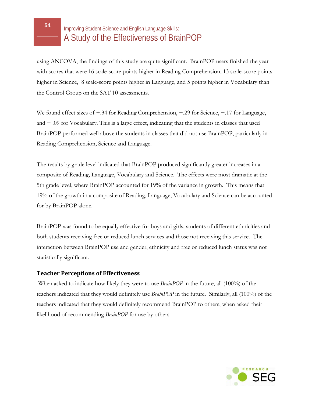using ANCOVA, the findings of this study are quite significant. BrainPOP users finished the year with scores that were 16 scale-score points higher in Reading Comprehension, 13 scale-score points higher in Science, 8 scale-score points higher in Language, and 5 points higher in Vocabulary than the Control Group on the SAT 10 assessments.

We found effect sizes of +.34 for Reading Comprehension, +.29 for Science, +.17 for Language, and + .09 for Vocabulary. This is a large effect, indicating that the students in classes that used BrainPOP performed well above the students in classes that did not use BrainPOP, particularly in Reading Comprehension, Science and Language.

The results by grade level indicated that BrainPOP produced significantly greater increases in a composite of Reading, Language, Vocabulary and Science. The effects were most dramatic at the 5th grade level, where BrainPOP accounted for 19% of the variance in growth. This means that 19% of the growth in a composite of Reading, Language, Vocabulary and Science can be accounted for by BrainPOP alone.

BrainPOP was found to be equally effective for boys and girls, students of different ethnicities and both students receiving free or reduced lunch services and those not receiving this service. The interaction between BrainPOP use and gender, ethnicity and free or reduced lunch status was not statistically significant.

#### **Teacher Perceptions of Effectiveness**

 When asked to indicate how likely they were to use *BrainPOP* in the future, all (100%) of the teachers indicated that they would definitely use *BrainPOP* in the future. Similarly, all (100%) of the teachers indicated that they would definitely recommend BrainPOP to others, when asked their likelihood of recommending *BrainPOP* for use by others.

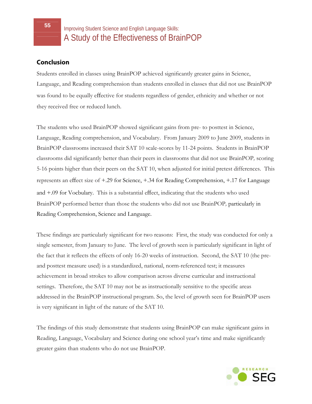#### **Conclusion**

Students enrolled in classes using BrainPOP achieved significantly greater gains in Science, Language, and Reading comprehension than students enrolled in classes that did not use BrainPOP was found to be equally effective for students regardless of gender, ethnicity and whether or not they received free or reduced lunch.

The students who used BrainPOP showed significant gains from pre- to posttest in Science, Language, Reading comprehension, and Vocabulary. From January 2009 to June 2009, students in BrainPOP classrooms increased their SAT 10 scale-scores by 11-24 points. Students in BrainPOP classrooms did significantly better than their peers in classrooms that did not use BrainPOP*,* scoring 5-16 points higher than their peers on the SAT 10, when adjusted for initial pretest differences. This represents an effect size of +.29 for Science, +.34 for Reading Comprehension, +.17 for Language and +.09 for Vocbulary. This is a substantial effect, indicating that the students who used BrainPOP performed better than those the students who did not use BrainPOP*,* particularly in Reading Comprehension, Science and Language.

These findings are particularly significant for two reasons: First, the study was conducted for only a single semester, from January to June. The level of growth seen is particularly significant in light of the fact that it reflects the effects of only 16-20 weeks of instruction. Second, the SAT 10 (the preand posttest measure used) is a standardized, national, norm-referenced test; it measures achievement in broad strokes to allow comparison across diverse curricular and instructional settings. Therefore, the SAT 10 may not be as instructionally sensitive to the specific areas addressed in the BrainPOP instructional program. So, the level of growth seen for BrainPOP users is very significant in light of the nature of the SAT 10.

The findings of this study demonstrate that students using BrainPOP can make significant gains in Reading, Language, Vocabulary and Science during one school year's time and make significantly greater gains than students who do not use BrainPOP.

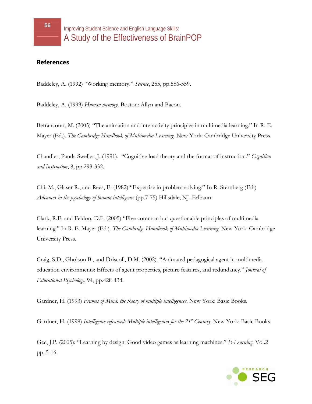#### **References**

Baddeley, A. (1992) "Working memory." *Science*, 255, pp.556-559.

Baddeley, A. (1999) *Human memory.* Boston: Allyn and Bacon.

Betrancourt, M. (2005) "The animation and interactivity principles in multimedia learning." In R. E. Mayer (Ed.). *The Cambridge Handbook of Multimedia Learning.* New York: Cambridge University Press.

Chandler, Panda Sweller, J. (1991). "Cognitive load theory and the format of instruction." *Cognition and Instruction*, 8, pp.293-332.

Chi, M., Glaser R., and Rees, E. (1982) "Expertise in problem solving." In R. Sternberg (Ed.) *Advances in the psychology of human intelligence* (pp.7-75) Hillsdale, NJ. Erlbaum

Clark, R.E. and Feldon, D.F. (2005) "Five common but questionable principles of multimedia learning." In R. E. Mayer (Ed.). *The Cambridge Handbook of Multimedia Learning.* New York: Cambridge University Press.

Craig, S.D., Gholson B., and Driscoll, D.M. (2002). "Animated pedagogical agent in multimedia education environments: Effects of agent properties, picture features, and redundancy." *Journal of Educational Psychology*, 94, pp.428-434.

Gardner, H. (1993) *Frames of Mind: the theory of multiple intelligences*. New York: Basic Books.

Gardner, H. (1999) *Intelligence reframed: Multiple intelligences for the 21<sup>st</sup> Century*. New York: Basic Books.

Gee, J.P. (2005): "Learning by design: Good video games as learning machines." *E-Learning*. Vol.2 pp. 5-16.

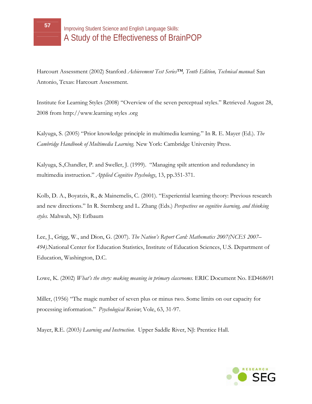Harcourt Assessment (2002) Stanford *Achievement Test Series™, Tenth Edition, Technical manual*: San Antonio, Texas: Harcourt Assessment.

Institute for Learning Styles (2008) "Overview of the seven perceptual styles." Retrieved August 28, 2008 from [http://www.learning](http://www.learning/) styles .org

Kalyuga, S. (2005) "Prior knowledge principle in multimedia learning." In R. E. Mayer (Ed.). *The Cambridge Handbook of Multimedia Learning.* New York: Cambridge University Press.

Kalyuga, S.,Chandler, P. and Sweller, J. (1999). "Managing spilt attention and redundancy in multimedia instruction." *Applied Cognitive Psychology*, 13, pp.351-371.

Kolb, D. A., Boyatzis, R., & Mainemelis, C. (2001). "Experiential learning theory: Previous research and new directions." In R. Sternberg and L. Zhang (Eds.) *Perspectives on cognitive learning, and thinking styles.* Mahwah, NJ: Erlbaum

Lee, J., Grigg, W., and Dion, G. (2007). *The Nation's Report Card: Mathematics 2007(NCES 2007– 494)*.National Center for Education Statistics, Institute of Education Sciences, U.S. Department of Education, Washington, D.C.

Lowe, K. (2002) *What's the story: making meaning in primary classrooms.* ERIC Document No. ED468691

Miller, (1956) "The magic number of seven plus or minus two. Some limits on our capacity for processing information." *Psychological Review*; Vole, 63, 31-97.

Mayer, R.E. (2003*) Learning and Instruction*. Upper Saddle River, NJ: Prentice Hall.

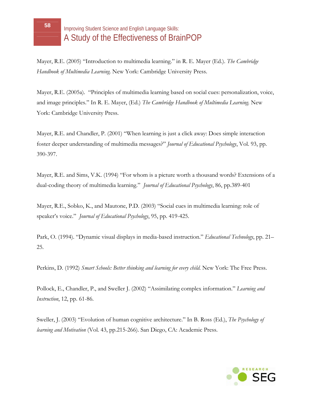Mayer, R.E. (2005) "Introduction to multimedia learning." in R. E. Mayer (Ed.). *The Cambridge Handbook of Multimedia Learning.* New York: Cambridge University Press.

Mayer, R.E. (2005a). "Principles of multimedia learning based on social cues: personalization, voice, and image principles." In R. E. Mayer, (Ed.) *The Cambridge Handbook of Multimedia Learning.* New York: Cambridge University Press.

Mayer, R.E. and Chandler, P. (2001) "When learning is just a click away: Does simple interaction foster deeper understanding of multimedia messages?" *Journal of Educational Psychology*, Vol. 93, pp. 390-397.

Mayer, R.E. and Sims, V.K. (1994) "For whom is a picture worth a thousand words? Extensions of a dual-coding theory of multimedia learning." *Journal of Educational Psychology*, 86, pp.389-401

Mayer, R.E., Sobko, K., and Mautone, P.D. (2003) "Social cues in multimedia learning: role of speaker's voice." *Journal of Educational Psychology*, 95, pp. 419-425.

Park, O. (1994). "Dynamic visual displays in media-based instruction." *Educational Technology*, pp. 21– 25.

Perkins, D. (1992) *Smart Schools: Better thinking and learning for every child*. New York: The Free Press.

Pollock, E., Chandler, P., and Sweller J. (2002) "Assimilating complex information." *Learning and Instruction*, 12, pp. 61-86.

Sweller, J. (2003) "Evolution of human cognitive architecture." In B. Ross (Ed.), *The Psychology of learning and Motivation* (Vol. 43, pp.215-266). San Diego, CA: Academic Press.